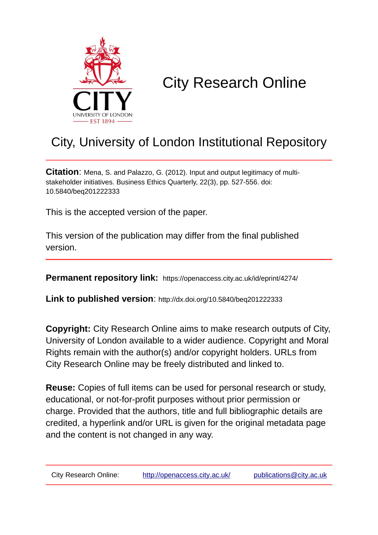

# City Research Online

## City, University of London Institutional Repository

**Citation**: Mena, S. and Palazzo, G. (2012). Input and output legitimacy of multistakeholder initiatives. Business Ethics Quarterly, 22(3), pp. 527-556. doi: 10.5840/beq201222333

This is the accepted version of the paper.

This version of the publication may differ from the final published version.

**Permanent repository link:** https://openaccess.city.ac.uk/id/eprint/4274/

**Link to published version**: http://dx.doi.org/10.5840/beq201222333

**Copyright:** City Research Online aims to make research outputs of City, University of London available to a wider audience. Copyright and Moral Rights remain with the author(s) and/or copyright holders. URLs from City Research Online may be freely distributed and linked to.

**Reuse:** Copies of full items can be used for personal research or study, educational, or not-for-profit purposes without prior permission or charge. Provided that the authors, title and full bibliographic details are credited, a hyperlink and/or URL is given for the original metadata page and the content is not changed in any way.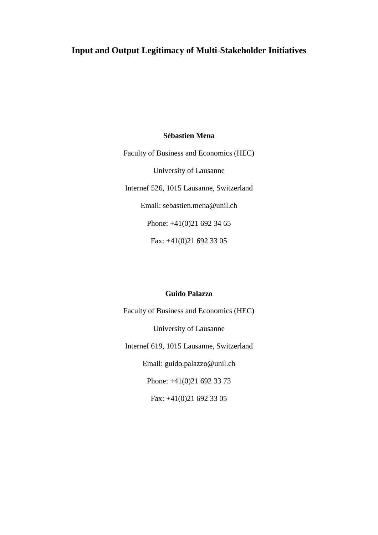## **Input and Output Legitimacy of Multi-Stakeholder Initiatives**

#### **Sébastien Mena**

Faculty of Business and Economics (HEC) University of Lausanne Internef 526, 1015 Lausanne, Switzerland Email: sebastien.mena@unil.ch Phone: +41(0)21 692 34 65 Fax: +41(0)21 692 33 05

#### **Guido Palazzo**

Faculty of Business and Economics (HEC) University of Lausanne Internef 619, 1015 Lausanne, Switzerland Email: guido.palazzo@unil.ch Phone: +41(0)21 692 33 73 Fax: +41(0)21 692 33 05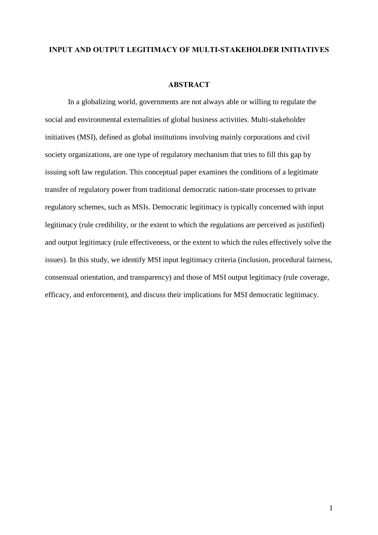#### **INPUT AND OUTPUT LEGITIMACY OF MULTI-STAKEHOLDER INITIATIVES**

#### **ABSTRACT**

In a globalizing world, governments are not always able or willing to regulate the social and environmental externalities of global business activities. Multi-stakeholder initiatives (MSI), defined as global institutions involving mainly corporations and civil society organizations, are one type of regulatory mechanism that tries to fill this gap by issuing soft law regulation. This conceptual paper examines the conditions of a legitimate transfer of regulatory power from traditional democratic nation-state processes to private regulatory schemes, such as MSIs. Democratic legitimacy is typically concerned with input legitimacy (rule credibility, or the extent to which the regulations are perceived as justified) and output legitimacy (rule effectiveness, or the extent to which the rules effectively solve the issues). In this study, we identify MSI input legitimacy criteria (inclusion, procedural fairness, consensual orientation, and transparency) and those of MSI output legitimacy (rule coverage, efficacy, and enforcement), and discuss their implications for MSI democratic legitimacy.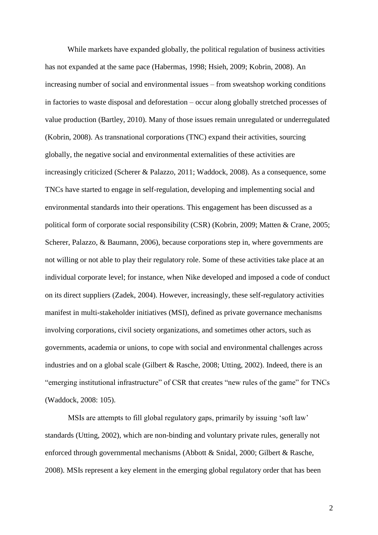While markets have expanded globally, the political regulation of business activities has not expanded at the same pace (Habermas, 1998; Hsieh, 2009; Kobrin, 2008). An increasing number of social and environmental issues – from sweatshop working conditions in factories to waste disposal and deforestation – occur along globally stretched processes of value production (Bartley, 2010). Many of those issues remain unregulated or underregulated (Kobrin, 2008). As transnational corporations (TNC) expand their activities, sourcing globally, the negative social and environmental externalities of these activities are increasingly criticized (Scherer & Palazzo, 2011; Waddock, 2008). As a consequence, some TNCs have started to engage in self-regulation, developing and implementing social and environmental standards into their operations. This engagement has been discussed as a political form of corporate social responsibility (CSR) (Kobrin, 2009; Matten & Crane, 2005; Scherer, Palazzo, & Baumann, 2006), because corporations step in, where governments are not willing or not able to play their regulatory role. Some of these activities take place at an individual corporate level; for instance, when Nike developed and imposed a code of conduct on its direct suppliers (Zadek, 2004). However, increasingly, these self-regulatory activities manifest in multi-stakeholder initiatives (MSI), defined as private governance mechanisms involving corporations, civil society organizations, and sometimes other actors, such as governments, academia or unions, to cope with social and environmental challenges across industries and on a global scale (Gilbert & Rasche, 2008; Utting, 2002). Indeed, there is an "emerging institutional infrastructure" of CSR that creates "new rules of the game" for TNCs (Waddock, 2008: 105).

MSIs are attempts to fill global regulatory gaps, primarily by issuing 'soft law' standards (Utting, 2002), which are non-binding and voluntary private rules, generally not enforced through governmental mechanisms (Abbott & Snidal, 2000; Gilbert & Rasche, 2008). MSIs represent a key element in the emerging global regulatory order that has been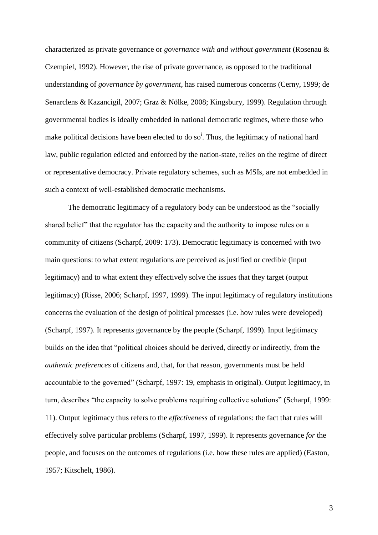characterized as private governance or *governance with and without government* (Rosenau & Czempiel, 1992). However, the rise of private governance, as opposed to the traditional understanding of *governance by government*, has raised numerous concerns (Cerny, 1999; de Senarclens & Kazancigil, 2007; Graz & Nölke, 2008; Kingsbury, 1999). Regulation through governmental bodies is ideally embedded in national democratic regimes, where those who make political decisions have been elected to do so<sup>i</sup>. Thus, the legitimacy of national hard law, public regulation edicted and enforced by the nation-state, relies on the regime of direct or representative democracy. Private regulatory schemes, such as MSIs, are not embedded in such a context of well-established democratic mechanisms.

The democratic legitimacy of a regulatory body can be understood as the "socially shared belief" that the regulator has the capacity and the authority to impose rules on a community of citizens (Scharpf, 2009: 173). Democratic legitimacy is concerned with two main questions: to what extent regulations are perceived as justified or credible (input legitimacy) and to what extent they effectively solve the issues that they target (output legitimacy) (Risse, 2006; Scharpf, 1997, 1999). The input legitimacy of regulatory institutions concerns the evaluation of the design of political processes (i.e. how rules were developed) (Scharpf, 1997). It represents governance by the people (Scharpf, 1999). Input legitimacy builds on the idea that "political choices should be derived, directly or indirectly, from the *authentic preferences* of citizens and, that, for that reason, governments must be held accountable to the governed" (Scharpf, 1997: 19, emphasis in original). Output legitimacy, in turn, describes "the capacity to solve problems requiring collective solutions" (Scharpf, 1999: 11). Output legitimacy thus refers to the *effectiveness* of regulations: the fact that rules will effectively solve particular problems (Scharpf, 1997, 1999). It represents governance *for* the people, and focuses on the outcomes of regulations (i.e. how these rules are applied) (Easton, 1957; Kitschelt, 1986).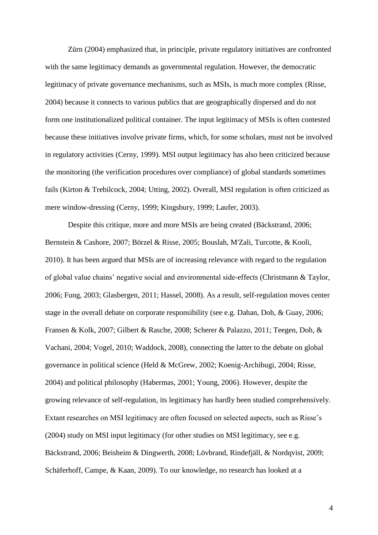Zürn (2004) emphasized that, in principle, private regulatory initiatives are confronted with the same legitimacy demands as governmental regulation. However, the democratic legitimacy of private governance mechanisms, such as MSIs, is much more complex (Risse, 2004) because it connects to various publics that are geographically dispersed and do not form one institutionalized political container. The input legitimacy of MSIs is often contested because these initiatives involve private firms, which, for some scholars, must not be involved in regulatory activities (Cerny, 1999). MSI output legitimacy has also been criticized because the monitoring (the verification procedures over compliance) of global standards sometimes fails (Kirton & Trebilcock, 2004; Utting, 2002). Overall, MSI regulation is often criticized as mere window-dressing (Cerny, 1999; Kingsbury, 1999; Laufer, 2003).

Despite this critique, more and more MSIs are being created (Bäckstrand, 2006; Bernstein & Cashore, 2007; Börzel & Risse, 2005; Bouslah, M'Zali, Turcotte, & Kooli, 2010). It has been argued that MSIs are of increasing relevance with regard to the regulation of global value chains' negative social and environmental side-effects (Christmann & Taylor, 2006; Fung, 2003; Glasbergen, 2011; Hassel, 2008). As a result, self-regulation moves center stage in the overall debate on corporate responsibility (see e.g. Dahan, Doh, & Guay, 2006; Fransen & Kolk, 2007; Gilbert & Rasche, 2008; Scherer & Palazzo, 2011; Teegen, Doh, & Vachani, 2004; Vogel, 2010; Waddock, 2008), connecting the latter to the debate on global governance in political science (Held & McGrew, 2002; Koenig-Archibugi, 2004; Risse, 2004) and political philosophy (Habermas, 2001; Young, 2006). However, despite the growing relevance of self-regulation, its legitimacy has hardly been studied comprehensively. Extant researches on MSI legitimacy are often focused on selected aspects, such as Risse's (2004) study on MSI input legitimacy (for other studies on MSI legitimacy, see e.g. Bäckstrand, 2006; Beisheim & Dingwerth, 2008; Lövbrand, Rindefjäll, & Nordqvist, 2009; Schäferhoff, Campe, & Kaan, 2009). To our knowledge, no research has looked at a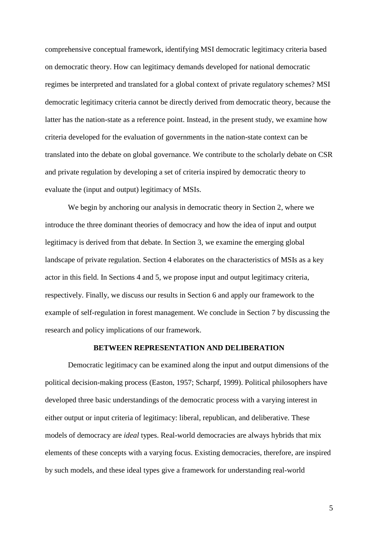comprehensive conceptual framework, identifying MSI democratic legitimacy criteria based on democratic theory. How can legitimacy demands developed for national democratic regimes be interpreted and translated for a global context of private regulatory schemes? MSI democratic legitimacy criteria cannot be directly derived from democratic theory, because the latter has the nation-state as a reference point. Instead, in the present study, we examine how criteria developed for the evaluation of governments in the nation-state context can be translated into the debate on global governance. We contribute to the scholarly debate on CSR and private regulation by developing a set of criteria inspired by democratic theory to evaluate the (input and output) legitimacy of MSIs.

We begin by anchoring our analysis in democratic theory in Section 2, where we introduce the three dominant theories of democracy and how the idea of input and output legitimacy is derived from that debate. In Section 3, we examine the emerging global landscape of private regulation. Section 4 elaborates on the characteristics of MSIs as a key actor in this field. In Sections 4 and 5, we propose input and output legitimacy criteria, respectively. Finally, we discuss our results in Section 6 and apply our framework to the example of self-regulation in forest management. We conclude in Section 7 by discussing the research and policy implications of our framework.

#### **BETWEEN REPRESENTATION AND DELIBERATION**

Democratic legitimacy can be examined along the input and output dimensions of the political decision-making process (Easton, 1957; Scharpf, 1999). Political philosophers have developed three basic understandings of the democratic process with a varying interest in either output or input criteria of legitimacy: liberal, republican, and deliberative. These models of democracy are *ideal* types. Real-world democracies are always hybrids that mix elements of these concepts with a varying focus. Existing democracies, therefore, are inspired by such models, and these ideal types give a framework for understanding real-world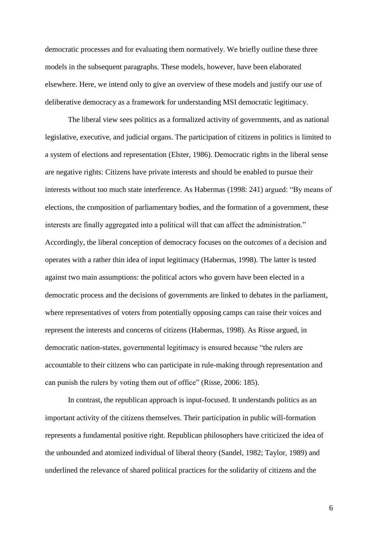democratic processes and for evaluating them normatively. We briefly outline these three models in the subsequent paragraphs. These models, however, have been elaborated elsewhere. Here, we intend only to give an overview of these models and justify our use of deliberative democracy as a framework for understanding MSI democratic legitimacy.

The liberal view sees politics as a formalized activity of governments, and as national legislative, executive, and judicial organs. The participation of citizens in politics is limited to a system of elections and representation (Elster, 1986). Democratic rights in the liberal sense are negative rights: Citizens have private interests and should be enabled to pursue their interests without too much state interference. As Habermas (1998: 241) argued: "By means of elections, the composition of parliamentary bodies, and the formation of a government, these interests are finally aggregated into a political will that can affect the administration." Accordingly, the liberal conception of democracy focuses on the *outcomes* of a decision and operates with a rather thin idea of input legitimacy (Habermas, 1998). The latter is tested against two main assumptions: the political actors who govern have been elected in a democratic process and the decisions of governments are linked to debates in the parliament, where representatives of voters from potentially opposing camps can raise their voices and represent the interests and concerns of citizens (Habermas, 1998). As Risse argued, in democratic nation-states, governmental legitimacy is ensured because "the rulers are accountable to their citizens who can participate in rule-making through representation and can punish the rulers by voting them out of office" (Risse, 2006: 185).

In contrast, the republican approach is input-focused. It understands politics as an important activity of the citizens themselves. Their participation in public will-formation represents a fundamental positive right. Republican philosophers have criticized the idea of the unbounded and atomized individual of liberal theory (Sandel, 1982; Taylor, 1989) and underlined the relevance of shared political practices for the solidarity of citizens and the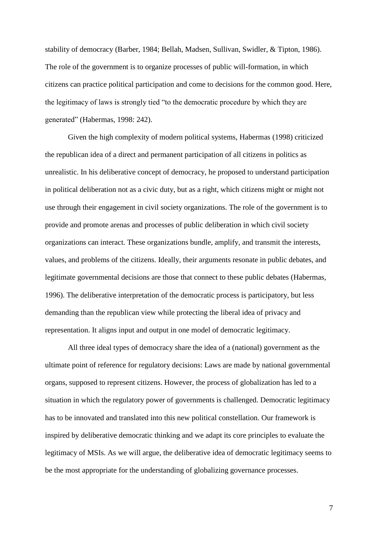stability of democracy (Barber, 1984; Bellah, Madsen, Sullivan, Swidler, & Tipton, 1986). The role of the government is to organize processes of public will-formation, in which citizens can practice political participation and come to decisions for the common good. Here, the legitimacy of laws is strongly tied "to the democratic procedure by which they are generated" (Habermas, 1998: 242).

Given the high complexity of modern political systems, Habermas (1998) criticized the republican idea of a direct and permanent participation of all citizens in politics as unrealistic. In his deliberative concept of democracy, he proposed to understand participation in political deliberation not as a civic duty, but as a right, which citizens might or might not use through their engagement in civil society organizations. The role of the government is to provide and promote arenas and processes of public deliberation in which civil society organizations can interact. These organizations bundle, amplify, and transmit the interests, values, and problems of the citizens. Ideally, their arguments resonate in public debates, and legitimate governmental decisions are those that connect to these public debates (Habermas, 1996). The deliberative interpretation of the democratic process is participatory, but less demanding than the republican view while protecting the liberal idea of privacy and representation. It aligns input and output in one model of democratic legitimacy.

All three ideal types of democracy share the idea of a (national) government as the ultimate point of reference for regulatory decisions: Laws are made by national governmental organs, supposed to represent citizens. However, the process of globalization has led to a situation in which the regulatory power of governments is challenged. Democratic legitimacy has to be innovated and translated into this new political constellation. Our framework is inspired by deliberative democratic thinking and we adapt its core principles to evaluate the legitimacy of MSIs. As we will argue, the deliberative idea of democratic legitimacy seems to be the most appropriate for the understanding of globalizing governance processes.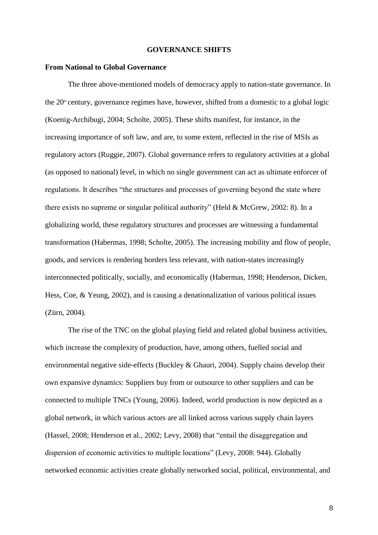#### **GOVERNANCE SHIFTS**

#### **From National to Global Governance**

The three above-mentioned models of democracy apply to nation-state governance. In the  $20<sup>th</sup>$  century, governance regimes have, however, shifted from a domestic to a global logic (Koenig-Archibugi, 2004; Scholte, 2005). These shifts manifest, for instance, in the increasing importance of soft law, and are, to some extent, reflected in the rise of MSIs as regulatory actors (Ruggie, 2007). Global governance refers to regulatory activities at a global (as opposed to national) level, in which no single government can act as ultimate enforcer of regulations. It describes "the structures and processes of governing beyond the state where there exists no supreme or singular political authority" (Held & McGrew, 2002: 8). In a globalizing world, these regulatory structures and processes are witnessing a fundamental transformation (Habermas, 1998; Scholte, 2005). The increasing mobility and flow of people, goods, and services is rendering borders less relevant, with nation-states increasingly interconnected politically, socially, and economically (Habermas, 1998; Henderson, Dicken, Hess, Coe, & Yeung, 2002), and is causing a denationalization of various political issues (Zürn, 2004).

The rise of the TNC on the global playing field and related global business activities, which increase the complexity of production, have, among others, fuelled social and environmental negative side-effects (Buckley & Ghauri, 2004). Supply chains develop their own expansive dynamics: Suppliers buy from or outsource to other suppliers and can be connected to multiple TNCs (Young, 2006). Indeed, world production is now depicted as a global network, in which various actors are all linked across various supply chain layers (Hassel, 2008; Henderson et al., 2002; Levy, 2008) that "entail the disaggregation and dispersion of economic activities to multiple locations" (Levy, 2008: 944). Globally networked economic activities create globally networked social, political, environmental, and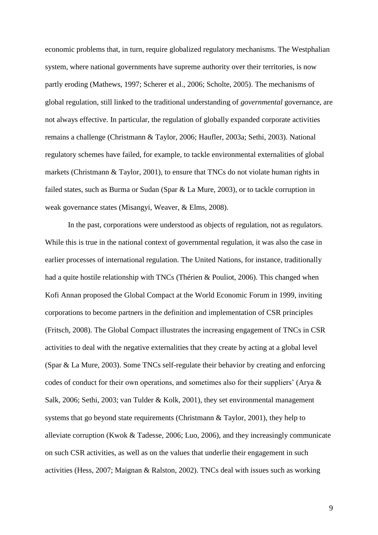economic problems that, in turn, require globalized regulatory mechanisms. The Westphalian system, where national governments have supreme authority over their territories, is now partly eroding (Mathews, 1997; Scherer et al., 2006; Scholte, 2005). The mechanisms of global regulation, still linked to the traditional understanding of *governmental* governance, are not always effective. In particular, the regulation of globally expanded corporate activities remains a challenge (Christmann & Taylor, 2006; Haufler, 2003a; Sethi, 2003). National regulatory schemes have failed, for example, to tackle environmental externalities of global markets (Christmann & Taylor, 2001), to ensure that TNCs do not violate human rights in failed states, such as Burma or Sudan (Spar & La Mure, 2003), or to tackle corruption in weak governance states (Misangyi, Weaver, & Elms, 2008).

In the past, corporations were understood as objects of regulation, not as regulators. While this is true in the national context of governmental regulation, it was also the case in earlier processes of international regulation. The United Nations, for instance, traditionally had a quite hostile relationship with TNCs (Thérien & Pouliot, 2006). This changed when Kofi Annan proposed the Global Compact at the World Economic Forum in 1999, inviting corporations to become partners in the definition and implementation of CSR principles (Fritsch, 2008). The Global Compact illustrates the increasing engagement of TNCs in CSR activities to deal with the negative externalities that they create by acting at a global level (Spar & La Mure, 2003). Some TNCs self-regulate their behavior by creating and enforcing codes of conduct for their own operations, and sometimes also for their suppliers' (Arya & Salk, 2006; Sethi, 2003; van Tulder & Kolk, 2001), they set environmental management systems that go beyond state requirements (Christmann & Taylor, 2001), they help to alleviate corruption (Kwok & Tadesse, 2006; Luo, 2006), and they increasingly communicate on such CSR activities, as well as on the values that underlie their engagement in such activities (Hess, 2007; Maignan & Ralston, 2002). TNCs deal with issues such as working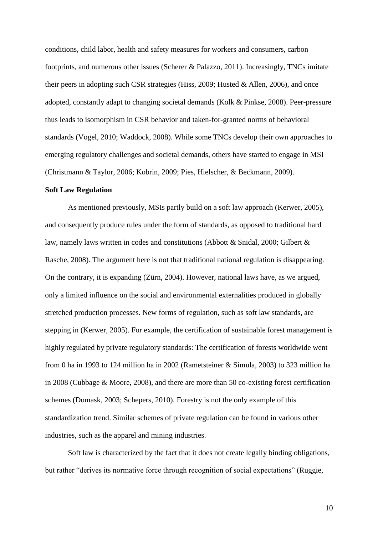conditions, child labor, health and safety measures for workers and consumers, carbon footprints, and numerous other issues (Scherer & Palazzo, 2011). Increasingly, TNCs imitate their peers in adopting such CSR strategies (Hiss, 2009; Husted & Allen, 2006), and once adopted, constantly adapt to changing societal demands (Kolk & Pinkse, 2008). Peer-pressure thus leads to isomorphism in CSR behavior and taken-for-granted norms of behavioral standards (Vogel, 2010; Waddock, 2008). While some TNCs develop their own approaches to emerging regulatory challenges and societal demands, others have started to engage in MSI (Christmann & Taylor, 2006; Kobrin, 2009; Pies, Hielscher, & Beckmann, 2009).

#### **Soft Law Regulation**

As mentioned previously, MSIs partly build on a soft law approach (Kerwer, 2005), and consequently produce rules under the form of standards, as opposed to traditional hard law, namely laws written in codes and constitutions (Abbott & Snidal, 2000; Gilbert & Rasche, 2008). The argument here is not that traditional national regulation is disappearing. On the contrary, it is expanding (Zürn, 2004). However, national laws have, as we argued, only a limited influence on the social and environmental externalities produced in globally stretched production processes. New forms of regulation, such as soft law standards, are stepping in (Kerwer, 2005). For example, the certification of sustainable forest management is highly regulated by private regulatory standards: The certification of forests worldwide went from 0 ha in 1993 to 124 million ha in 2002 (Rametsteiner & Simula, 2003) to 323 million ha in 2008 (Cubbage & Moore, 2008), and there are more than 50 co-existing forest certification schemes (Domask, 2003; Schepers, 2010). Forestry is not the only example of this standardization trend. Similar schemes of private regulation can be found in various other industries, such as the apparel and mining industries.

Soft law is characterized by the fact that it does not create legally binding obligations, but rather "derives its normative force through recognition of social expectations" (Ruggie,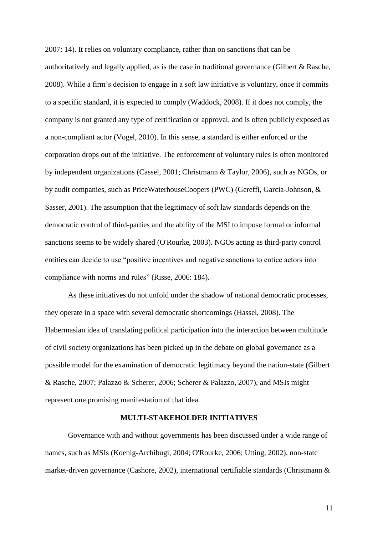2007: 14). It relies on voluntary compliance, rather than on sanctions that can be authoritatively and legally applied, as is the case in traditional governance (Gilbert & Rasche, 2008). While a firm's decision to engage in a soft law initiative is voluntary, once it commits to a specific standard, it is expected to comply (Waddock, 2008). If it does not comply, the company is not granted any type of certification or approval, and is often publicly exposed as a non-compliant actor (Vogel, 2010). In this sense, a standard is either enforced or the corporation drops out of the initiative. The enforcement of voluntary rules is often monitored by independent organizations (Cassel, 2001; Christmann & Taylor, 2006), such as NGOs, or by audit companies, such as PriceWaterhouseCoopers (PWC) (Gereffi, Garcia-Johnson, & Sasser, 2001). The assumption that the legitimacy of soft law standards depends on the democratic control of third-parties and the ability of the MSI to impose formal or informal sanctions seems to be widely shared (O'Rourke, 2003). NGOs acting as third-party control entities can decide to use "positive incentives and negative sanctions to entice actors into compliance with norms and rules" (Risse, 2006: 184).

As these initiatives do not unfold under the shadow of national democratic processes, they operate in a space with several democratic shortcomings (Hassel, 2008). The Habermasian idea of translating political participation into the interaction between multitude of civil society organizations has been picked up in the debate on global governance as a possible model for the examination of democratic legitimacy beyond the nation-state (Gilbert & Rasche, 2007; Palazzo & Scherer, 2006; Scherer & Palazzo, 2007), and MSIs might represent one promising manifestation of that idea.

#### **MULTI-STAKEHOLDER INITIATIVES**

Governance with and without governments has been discussed under a wide range of names, such as MSIs (Koenig-Archibugi, 2004; O'Rourke, 2006; Utting, 2002), non-state market-driven governance (Cashore, 2002), international certifiable standards (Christmann &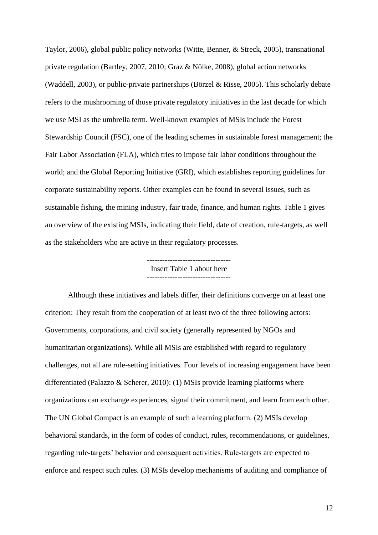Taylor, 2006), global public policy networks (Witte, Benner, & Streck, 2005), transnational private regulation (Bartley, 2007, 2010; Graz & Nölke, 2008), global action networks (Waddell, 2003), or public-private partnerships (Börzel & Risse, 2005). This scholarly debate refers to the mushrooming of those private regulatory initiatives in the last decade for which we use MSI as the umbrella term. Well-known examples of MSIs include the Forest Stewardship Council (FSC), one of the leading schemes in sustainable forest management; the Fair Labor Association (FLA), which tries to impose fair labor conditions throughout the world; and the Global Reporting Initiative (GRI), which establishes reporting guidelines for corporate sustainability reports. Other examples can be found in several issues, such as sustainable fishing, the mining industry, fair trade, finance, and human rights. Table 1 gives an overview of the existing MSIs, indicating their field, date of creation, rule-targets, as well as the stakeholders who are active in their regulatory processes.

# Insert Table 1 about here

Although these initiatives and labels differ, their definitions converge on at least one criterion: They result from the cooperation of at least two of the three following actors: Governments, corporations, and civil society (generally represented by NGOs and humanitarian organizations). While all MSIs are established with regard to regulatory challenges, not all are rule-setting initiatives. Four levels of increasing engagement have been differentiated (Palazzo & Scherer, 2010): (1) MSIs provide learning platforms where organizations can exchange experiences, signal their commitment, and learn from each other. The UN Global Compact is an example of such a learning platform. (2) MSIs develop behavioral standards, in the form of codes of conduct, rules, recommendations, or guidelines, regarding rule-targets' behavior and consequent activities. Rule-targets are expected to enforce and respect such rules. (3) MSIs develop mechanisms of auditing and compliance of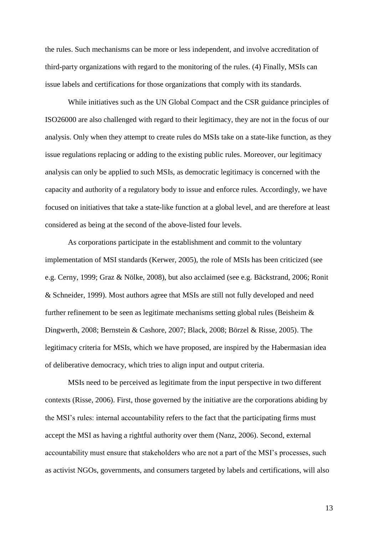the rules. Such mechanisms can be more or less independent, and involve accreditation of third-party organizations with regard to the monitoring of the rules. (4) Finally, MSIs can issue labels and certifications for those organizations that comply with its standards.

While initiatives such as the UN Global Compact and the CSR guidance principles of ISO26000 are also challenged with regard to their legitimacy, they are not in the focus of our analysis. Only when they attempt to create rules do MSIs take on a state-like function, as they issue regulations replacing or adding to the existing public rules. Moreover, our legitimacy analysis can only be applied to such MSIs, as democratic legitimacy is concerned with the capacity and authority of a regulatory body to issue and enforce rules. Accordingly, we have focused on initiatives that take a state-like function at a global level, and are therefore at least considered as being at the second of the above-listed four levels.

As corporations participate in the establishment and commit to the voluntary implementation of MSI standards (Kerwer, 2005), the role of MSIs has been criticized (see e.g. Cerny, 1999; Graz & Nölke, 2008), but also acclaimed (see e.g. Bäckstrand, 2006; Ronit & Schneider, 1999). Most authors agree that MSIs are still not fully developed and need further refinement to be seen as legitimate mechanisms setting global rules (Beisheim & Dingwerth, 2008; Bernstein & Cashore, 2007; Black, 2008; Börzel & Risse, 2005). The legitimacy criteria for MSIs, which we have proposed, are inspired by the Habermasian idea of deliberative democracy, which tries to align input and output criteria.

MSIs need to be perceived as legitimate from the input perspective in two different contexts (Risse, 2006). First, those governed by the initiative are the corporations abiding by the MSI's rules: internal accountability refers to the fact that the participating firms must accept the MSI as having a rightful authority over them (Nanz, 2006). Second, external accountability must ensure that stakeholders who are not a part of the MSI's processes, such as activist NGOs, governments, and consumers targeted by labels and certifications, will also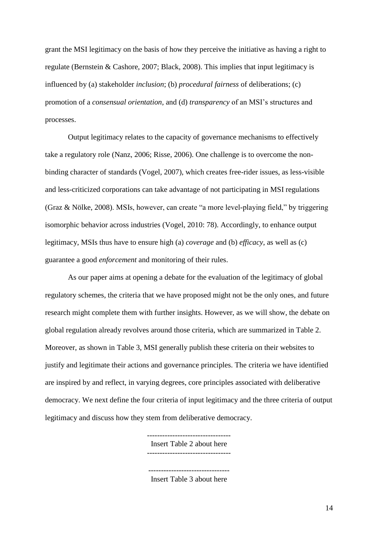grant the MSI legitimacy on the basis of how they perceive the initiative as having a right to regulate (Bernstein & Cashore, 2007; Black, 2008). This implies that input legitimacy is influenced by (a) stakeholder *inclusion*; (b) *procedural fairness* of deliberations; (c) promotion of a *consensual orientation*, and (d) *transparency* of an MSI's structures and processes.

Output legitimacy relates to the capacity of governance mechanisms to effectively take a regulatory role (Nanz, 2006; Risse, 2006). One challenge is to overcome the nonbinding character of standards (Vogel, 2007), which creates free-rider issues, as less-visible and less-criticized corporations can take advantage of not participating in MSI regulations (Graz & Nölke, 2008). MSIs, however, can create "a more level-playing field," by triggering isomorphic behavior across industries (Vogel, 2010: 78). Accordingly, to enhance output legitimacy, MSIs thus have to ensure high (a) *coverage* and (b) *efficacy*, as well as (c) guarantee a good *enforcement* and monitoring of their rules.

As our paper aims at opening a debate for the evaluation of the legitimacy of global regulatory schemes, the criteria that we have proposed might not be the only ones, and future research might complete them with further insights. However, as we will show, the debate on global regulation already revolves around those criteria, which are summarized in Table 2. Moreover, as shown in Table 3, MSI generally publish these criteria on their websites to justify and legitimate their actions and governance principles. The criteria we have identified are inspired by and reflect, in varying degrees, core principles associated with deliberative democracy. We next define the four criteria of input legitimacy and the three criteria of output legitimacy and discuss how they stem from deliberative democracy.

Insert Table 2 about here

Insert Table 3 about here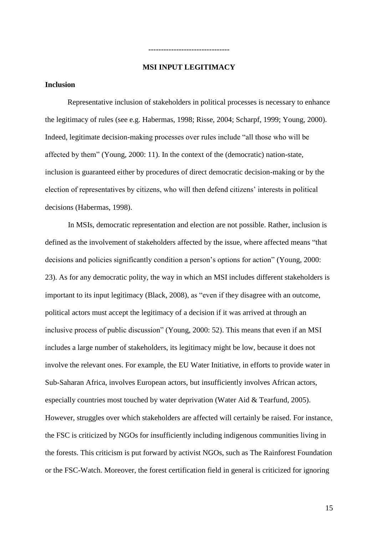#### **MSI INPUT LEGITIMACY**

--------------------------------

#### **Inclusion**

Representative inclusion of stakeholders in political processes is necessary to enhance the legitimacy of rules (see e.g. Habermas, 1998; Risse, 2004; Scharpf, 1999; Young, 2000). Indeed, legitimate decision-making processes over rules include "all those who will be affected by them" (Young, 2000: 11). In the context of the (democratic) nation-state, inclusion is guaranteed either by procedures of direct democratic decision-making or by the election of representatives by citizens, who will then defend citizens' interests in political decisions (Habermas, 1998).

In MSIs, democratic representation and election are not possible. Rather, inclusion is defined as the involvement of stakeholders affected by the issue, where affected means "that decisions and policies significantly condition a person's options for action" (Young, 2000: 23). As for any democratic polity, the way in which an MSI includes different stakeholders is important to its input legitimacy (Black, 2008), as "even if they disagree with an outcome, political actors must accept the legitimacy of a decision if it was arrived at through an inclusive process of public discussion" (Young, 2000: 52). This means that even if an MSI includes a large number of stakeholders, its legitimacy might be low, because it does not involve the relevant ones. For example, the EU Water Initiative, in efforts to provide water in Sub-Saharan Africa, involves European actors, but insufficiently involves African actors, especially countries most touched by water deprivation (Water Aid & Tearfund, 2005). However, struggles over which stakeholders are affected will certainly be raised. For instance, the FSC is criticized by NGOs for insufficiently including indigenous communities living in the forests. This criticism is put forward by activist NGOs, such as The Rainforest Foundation or the FSC-Watch. Moreover, the forest certification field in general is criticized for ignoring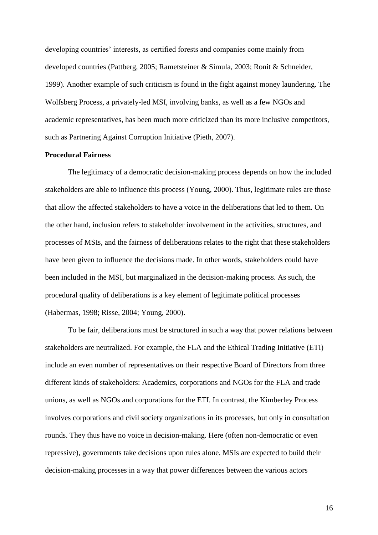developing countries' interests, as certified forests and companies come mainly from developed countries (Pattberg, 2005; Rametsteiner & Simula, 2003; Ronit & Schneider, 1999). Another example of such criticism is found in the fight against money laundering. The Wolfsberg Process, a privately-led MSI, involving banks, as well as a few NGOs and academic representatives, has been much more criticized than its more inclusive competitors, such as Partnering Against Corruption Initiative (Pieth, 2007).

#### **Procedural Fairness**

The legitimacy of a democratic decision-making process depends on how the included stakeholders are able to influence this process (Young, 2000). Thus, legitimate rules are those that allow the affected stakeholders to have a voice in the deliberations that led to them. On the other hand, inclusion refers to stakeholder involvement in the activities, structures, and processes of MSIs, and the fairness of deliberations relates to the right that these stakeholders have been given to influence the decisions made. In other words, stakeholders could have been included in the MSI, but marginalized in the decision-making process. As such, the procedural quality of deliberations is a key element of legitimate political processes (Habermas, 1998; Risse, 2004; Young, 2000).

To be fair, deliberations must be structured in such a way that power relations between stakeholders are neutralized. For example, the FLA and the Ethical Trading Initiative (ETI) include an even number of representatives on their respective Board of Directors from three different kinds of stakeholders: Academics, corporations and NGOs for the FLA and trade unions, as well as NGOs and corporations for the ETI. In contrast, the Kimberley Process involves corporations and civil society organizations in its processes, but only in consultation rounds. They thus have no voice in decision-making. Here (often non-democratic or even repressive), governments take decisions upon rules alone. MSIs are expected to build their decision-making processes in a way that power differences between the various actors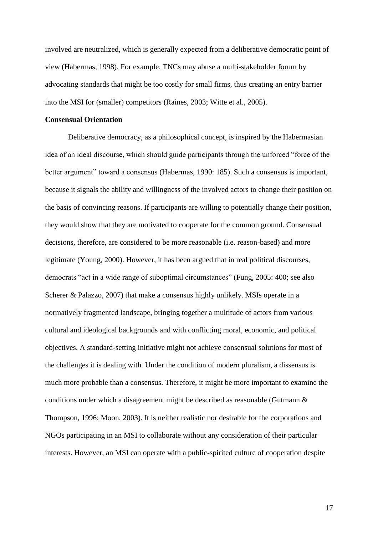involved are neutralized, which is generally expected from a deliberative democratic point of view (Habermas, 1998). For example, TNCs may abuse a multi-stakeholder forum by advocating standards that might be too costly for small firms, thus creating an entry barrier into the MSI for (smaller) competitors (Raines, 2003; Witte et al., 2005).

#### **Consensual Orientation**

Deliberative democracy, as a philosophical concept, is inspired by the Habermasian idea of an ideal discourse, which should guide participants through the unforced "force of the better argument" toward a consensus (Habermas, 1990: 185). Such a consensus is important, because it signals the ability and willingness of the involved actors to change their position on the basis of convincing reasons. If participants are willing to potentially change their position, they would show that they are motivated to cooperate for the common ground. Consensual decisions, therefore, are considered to be more reasonable (i.e. reason-based) and more legitimate (Young, 2000). However, it has been argued that in real political discourses, democrats "act in a wide range of suboptimal circumstances" (Fung, 2005: 400; see also Scherer & Palazzo, 2007) that make a consensus highly unlikely. MSIs operate in a normatively fragmented landscape, bringing together a multitude of actors from various cultural and ideological backgrounds and with conflicting moral, economic, and political objectives. A standard-setting initiative might not achieve consensual solutions for most of the challenges it is dealing with. Under the condition of modern pluralism, a dissensus is much more probable than a consensus. Therefore, it might be more important to examine the conditions under which a disagreement might be described as reasonable (Gutmann & Thompson, 1996; Moon, 2003). It is neither realistic nor desirable for the corporations and NGOs participating in an MSI to collaborate without any consideration of their particular interests. However, an MSI can operate with a public-spirited culture of cooperation despite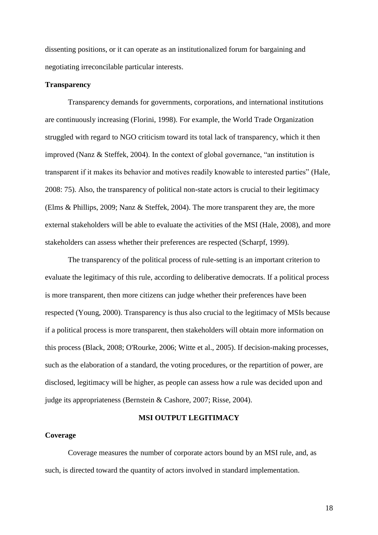dissenting positions, or it can operate as an institutionalized forum for bargaining and negotiating irreconcilable particular interests.

#### **Transparency**

Transparency demands for governments, corporations, and international institutions are continuously increasing (Florini, 1998). For example, the World Trade Organization struggled with regard to NGO criticism toward its total lack of transparency, which it then improved (Nanz & Steffek, 2004). In the context of global governance, "an institution is transparent if it makes its behavior and motives readily knowable to interested parties" (Hale, 2008: 75). Also, the transparency of political non-state actors is crucial to their legitimacy (Elms & Phillips, 2009; Nanz & Steffek, 2004). The more transparent they are, the more external stakeholders will be able to evaluate the activities of the MSI (Hale, 2008), and more stakeholders can assess whether their preferences are respected (Scharpf, 1999).

The transparency of the political process of rule-setting is an important criterion to evaluate the legitimacy of this rule, according to deliberative democrats. If a political process is more transparent, then more citizens can judge whether their preferences have been respected (Young, 2000). Transparency is thus also crucial to the legitimacy of MSIs because if a political process is more transparent, then stakeholders will obtain more information on this process (Black, 2008; O'Rourke, 2006; Witte et al., 2005). If decision-making processes, such as the elaboration of a standard, the voting procedures, or the repartition of power, are disclosed, legitimacy will be higher, as people can assess how a rule was decided upon and judge its appropriateness (Bernstein & Cashore, 2007; Risse, 2004).

#### **MSI OUTPUT LEGITIMACY**

#### **Coverage**

Coverage measures the number of corporate actors bound by an MSI rule, and, as such, is directed toward the quantity of actors involved in standard implementation.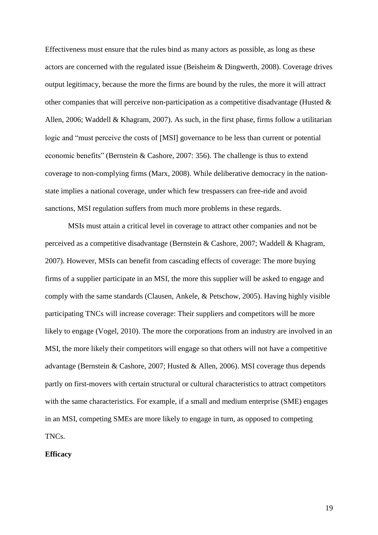Effectiveness must ensure that the rules bind as many actors as possible, as long as these actors are concerned with the regulated issue (Beisheim & Dingwerth, 2008). Coverage drives output legitimacy, because the more the firms are bound by the rules, the more it will attract other companies that will perceive non-participation as a competitive disadvantage (Husted  $\&$ Allen, 2006; Waddell & Khagram, 2007). As such, in the first phase, firms follow a utilitarian logic and "must perceive the costs of [MSI] governance to be less than current or potential economic benefits" (Bernstein & Cashore, 2007: 356). The challenge is thus to extend coverage to non-complying firms (Marx, 2008). While deliberative democracy in the nationstate implies a national coverage, under which few trespassers can free-ride and avoid sanctions, MSI regulation suffers from much more problems in these regards.

MSIs must attain a critical level in coverage to attract other companies and not be perceived as a competitive disadvantage (Bernstein & Cashore, 2007; Waddell & Khagram, 2007). However, MSIs can benefit from cascading effects of coverage: The more buying firms of a supplier participate in an MSI, the more this supplier will be asked to engage and comply with the same standards (Clausen, Ankele, & Petschow, 2005). Having highly visible participating TNCs will increase coverage: Their suppliers and competitors will be more likely to engage (Vogel, 2010). The more the corporations from an industry are involved in an MSI, the more likely their competitors will engage so that others will not have a competitive advantage (Bernstein & Cashore, 2007; Husted & Allen, 2006). MSI coverage thus depends partly on first-movers with certain structural or cultural characteristics to attract competitors with the same characteristics. For example, if a small and medium enterprise (SME) engages in an MSI, competing SMEs are more likely to engage in turn, as opposed to competing TNCs.

#### **Efficacy**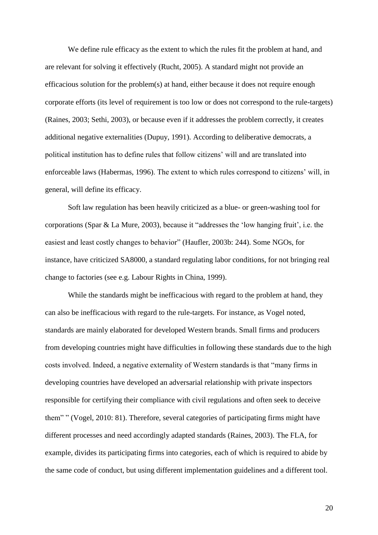We define rule efficacy as the extent to which the rules fit the problem at hand, and are relevant for solving it effectively (Rucht, 2005). A standard might not provide an efficacious solution for the problem(s) at hand, either because it does not require enough corporate efforts (its level of requirement is too low or does not correspond to the rule-targets) (Raines, 2003; Sethi, 2003), or because even if it addresses the problem correctly, it creates additional negative externalities (Dupuy, 1991). According to deliberative democrats, a political institution has to define rules that follow citizens' will and are translated into enforceable laws (Habermas, 1996). The extent to which rules correspond to citizens' will, in general, will define its efficacy.

Soft law regulation has been heavily criticized as a blue- or green-washing tool for corporations (Spar & La Mure, 2003), because it "addresses the 'low hanging fruit', i.e. the easiest and least costly changes to behavior" (Haufler, 2003b: 244). Some NGOs, for instance, have criticized SA8000, a standard regulating labor conditions, for not bringing real change to factories (see e.g. Labour Rights in China, 1999).

While the standards might be inefficacious with regard to the problem at hand, they can also be inefficacious with regard to the rule-targets. For instance, as Vogel noted, standards are mainly elaborated for developed Western brands. Small firms and producers from developing countries might have difficulties in following these standards due to the high costs involved. Indeed, a negative externality of Western standards is that "many firms in developing countries have developed an adversarial relationship with private inspectors responsible for certifying their compliance with civil regulations and often seek to deceive them" " (Vogel, 2010: 81). Therefore, several categories of participating firms might have different processes and need accordingly adapted standards (Raines, 2003). The FLA, for example, divides its participating firms into categories, each of which is required to abide by the same code of conduct, but using different implementation guidelines and a different tool.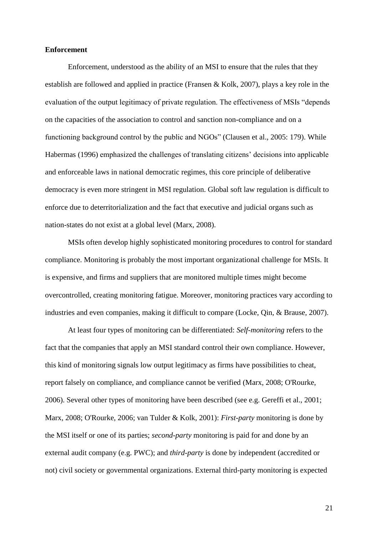#### **Enforcement**

Enforcement, understood as the ability of an MSI to ensure that the rules that they establish are followed and applied in practice (Fransen & Kolk, 2007), plays a key role in the evaluation of the output legitimacy of private regulation. The effectiveness of MSIs "depends on the capacities of the association to control and sanction non-compliance and on a functioning background control by the public and NGOs" (Clausen et al., 2005: 179). While Habermas (1996) emphasized the challenges of translating citizens' decisions into applicable and enforceable laws in national democratic regimes, this core principle of deliberative democracy is even more stringent in MSI regulation. Global soft law regulation is difficult to enforce due to deterritorialization and the fact that executive and judicial organs such as nation-states do not exist at a global level (Marx, 2008).

MSIs often develop highly sophisticated monitoring procedures to control for standard compliance. Monitoring is probably the most important organizational challenge for MSIs. It is expensive, and firms and suppliers that are monitored multiple times might become overcontrolled, creating monitoring fatigue. Moreover, monitoring practices vary according to industries and even companies, making it difficult to compare (Locke, Qin, & Brause, 2007).

At least four types of monitoring can be differentiated: *Self-monitoring* refers to the fact that the companies that apply an MSI standard control their own compliance. However, this kind of monitoring signals low output legitimacy as firms have possibilities to cheat, report falsely on compliance, and compliance cannot be verified (Marx, 2008; O'Rourke, 2006). Several other types of monitoring have been described (see e.g. Gereffi et al., 2001; Marx, 2008; O'Rourke, 2006; van Tulder & Kolk, 2001): *First-party* monitoring is done by the MSI itself or one of its parties; *second-party* monitoring is paid for and done by an external audit company (e.g. PWC); and *third-party* is done by independent (accredited or not) civil society or governmental organizations. External third-party monitoring is expected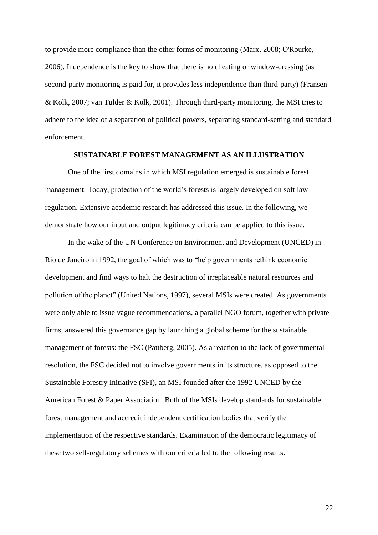to provide more compliance than the other forms of monitoring (Marx, 2008; O'Rourke, 2006). Independence is the key to show that there is no cheating or window-dressing (as second-party monitoring is paid for, it provides less independence than third-party) (Fransen & Kolk, 2007; van Tulder & Kolk, 2001). Through third-party monitoring, the MSI tries to adhere to the idea of a separation of political powers, separating standard-setting and standard enforcement.

#### **SUSTAINABLE FOREST MANAGEMENT AS AN ILLUSTRATION**

One of the first domains in which MSI regulation emerged is sustainable forest management. Today, protection of the world's forests is largely developed on soft law regulation. Extensive academic research has addressed this issue. In the following, we demonstrate how our input and output legitimacy criteria can be applied to this issue.

In the wake of the UN Conference on Environment and Development (UNCED) in Rio de Janeiro in 1992, the goal of which was to "help governments rethink economic development and find ways to halt the destruction of irreplaceable natural resources and pollution of the planet" (United Nations, 1997), several MSIs were created. As governments were only able to issue vague recommendations, a parallel NGO forum, together with private firms, answered this governance gap by launching a global scheme for the sustainable management of forests: the FSC (Pattberg, 2005). As a reaction to the lack of governmental resolution, the FSC decided not to involve governments in its structure, as opposed to the Sustainable Forestry Initiative (SFI), an MSI founded after the 1992 UNCED by the American Forest & Paper Association. Both of the MSIs develop standards for sustainable forest management and accredit independent certification bodies that verify the implementation of the respective standards. Examination of the democratic legitimacy of these two self-regulatory schemes with our criteria led to the following results.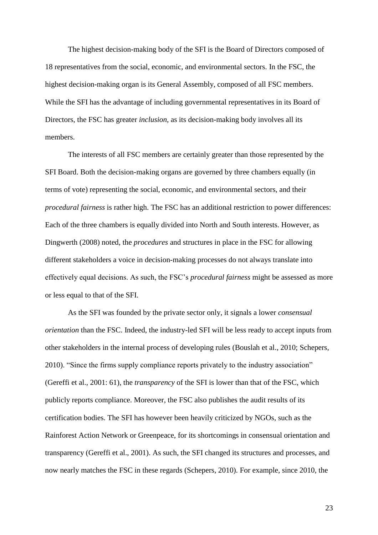The highest decision-making body of the SFI is the Board of Directors composed of 18 representatives from the social, economic, and environmental sectors. In the FSC, the highest decision-making organ is its General Assembly, composed of all FSC members. While the SFI has the advantage of including governmental representatives in its Board of Directors, the FSC has greater *inclusion*, as its decision-making body involves all its members.

The interests of all FSC members are certainly greater than those represented by the SFI Board. Both the decision-making organs are governed by three chambers equally (in terms of vote) representing the social, economic, and environmental sectors, and their *procedural fairness* is rather high. The FSC has an additional restriction to power differences: Each of the three chambers is equally divided into North and South interests. However, as Dingwerth (2008) noted, the *procedures* and structures in place in the FSC for allowing different stakeholders a voice in decision-making processes do not always translate into effectively equal decisions. As such, the FSC's *procedural fairness* might be assessed as more or less equal to that of the SFI.

As the SFI was founded by the private sector only, it signals a lower *consensual orientation* than the FSC. Indeed, the industry-led SFI will be less ready to accept inputs from other stakeholders in the internal process of developing rules (Bouslah et al., 2010; Schepers, 2010). "Since the firms supply compliance reports privately to the industry association" (Gereffi et al., 2001: 61), the *transparency* of the SFI is lower than that of the FSC, which publicly reports compliance. Moreover, the FSC also publishes the audit results of its certification bodies. The SFI has however been heavily criticized by NGOs, such as the Rainforest Action Network or Greenpeace, for its shortcomings in consensual orientation and transparency (Gereffi et al., 2001). As such, the SFI changed its structures and processes, and now nearly matches the FSC in these regards (Schepers, 2010). For example, since 2010, the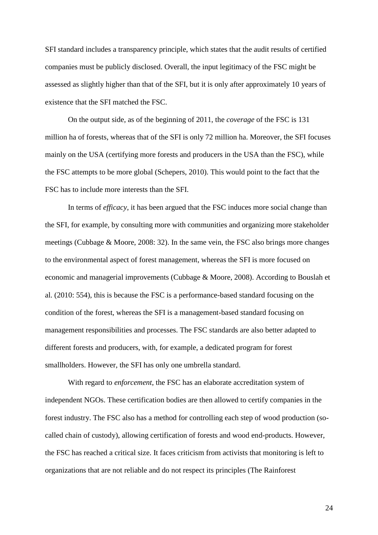SFI standard includes a transparency principle, which states that the audit results of certified companies must be publicly disclosed. Overall, the input legitimacy of the FSC might be assessed as slightly higher than that of the SFI, but it is only after approximately 10 years of existence that the SFI matched the FSC.

On the output side, as of the beginning of 2011, the *coverage* of the FSC is 131 million ha of forests, whereas that of the SFI is only 72 million ha. Moreover, the SFI focuses mainly on the USA (certifying more forests and producers in the USA than the FSC), while the FSC attempts to be more global (Schepers, 2010). This would point to the fact that the FSC has to include more interests than the SFI.

In terms of *efficacy*, it has been argued that the FSC induces more social change than the SFI, for example, by consulting more with communities and organizing more stakeholder meetings (Cubbage & Moore, 2008: 32). In the same vein, the FSC also brings more changes to the environmental aspect of forest management, whereas the SFI is more focused on economic and managerial improvements (Cubbage & Moore, 2008). According to Bouslah et al. (2010: 554), this is because the FSC is a performance-based standard focusing on the condition of the forest, whereas the SFI is a management-based standard focusing on management responsibilities and processes. The FSC standards are also better adapted to different forests and producers, with, for example, a dedicated program for forest smallholders. However, the SFI has only one umbrella standard.

With regard to *enforcement*, the FSC has an elaborate accreditation system of independent NGOs. These certification bodies are then allowed to certify companies in the forest industry. The FSC also has a method for controlling each step of wood production (socalled chain of custody), allowing certification of forests and wood end-products. However, the FSC has reached a critical size. It faces criticism from activists that monitoring is left to organizations that are not reliable and do not respect its principles (The Rainforest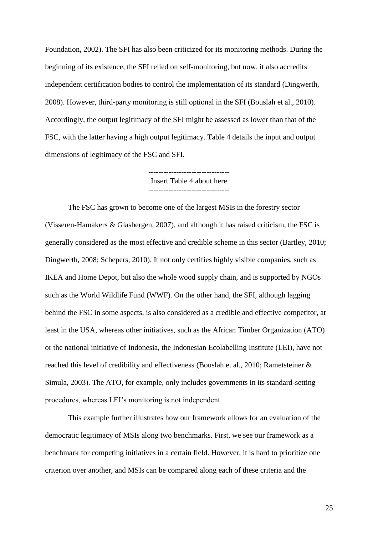Foundation, 2002). The SFI has also been criticized for its monitoring methods. During the beginning of its existence, the SFI relied on self-monitoring, but now, it also accredits independent certification bodies to control the implementation of its standard (Dingwerth, 2008). However, third-party monitoring is still optional in the SFI (Bouslah et al., 2010). Accordingly, the output legitimacy of the SFI might be assessed as lower than that of the FSC, with the latter having a high output legitimacy. Table 4 details the input and output dimensions of legitimacy of the FSC and SFI.

> -------------------------------- Insert Table 4 about here --------------------------------

The FSC has grown to become one of the largest MSIs in the forestry sector (Visseren-Hamakers & Glasbergen, 2007), and although it has raised criticism, the FSC is generally considered as the most effective and credible scheme in this sector (Bartley, 2010; Dingwerth, 2008; Schepers, 2010). It not only certifies highly visible companies, such as IKEA and Home Depot, but also the whole wood supply chain, and is supported by NGOs such as the World Wildlife Fund (WWF). On the other hand, the SFI, although lagging behind the FSC in some aspects, is also considered as a credible and effective competitor, at least in the USA, whereas other initiatives, such as the African Timber Organization (ATO) or the national initiative of Indonesia, the Indonesian Ecolabelling Institute (LEI), have not reached this level of credibility and effectiveness (Bouslah et al., 2010; Rametsteiner & Simula, 2003). The ATO, for example, only includes governments in its standard-setting procedures, whereas LEI's monitoring is not independent.

This example further illustrates how our framework allows for an evaluation of the democratic legitimacy of MSIs along two benchmarks. First, we see our framework as a benchmark for competing initiatives in a certain field. However, it is hard to prioritize one criterion over another, and MSIs can be compared along each of these criteria and the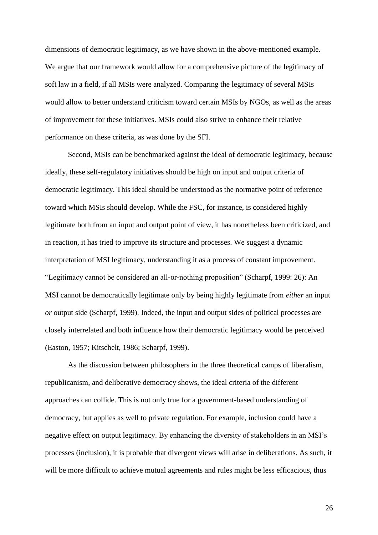dimensions of democratic legitimacy, as we have shown in the above-mentioned example. We argue that our framework would allow for a comprehensive picture of the legitimacy of soft law in a field, if all MSIs were analyzed. Comparing the legitimacy of several MSIs would allow to better understand criticism toward certain MSIs by NGOs, as well as the areas of improvement for these initiatives. MSIs could also strive to enhance their relative performance on these criteria, as was done by the SFI.

Second, MSIs can be benchmarked against the ideal of democratic legitimacy, because ideally, these self-regulatory initiatives should be high on input and output criteria of democratic legitimacy. This ideal should be understood as the normative point of reference toward which MSIs should develop. While the FSC, for instance, is considered highly legitimate both from an input and output point of view, it has nonetheless been criticized, and in reaction, it has tried to improve its structure and processes. We suggest a dynamic interpretation of MSI legitimacy, understanding it as a process of constant improvement. "Legitimacy cannot be considered an all-or-nothing proposition" (Scharpf, 1999: 26): An MSI cannot be democratically legitimate only by being highly legitimate from *either* an input *or* output side (Scharpf, 1999). Indeed, the input and output sides of political processes are closely interrelated and both influence how their democratic legitimacy would be perceived (Easton, 1957; Kitschelt, 1986; Scharpf, 1999).

As the discussion between philosophers in the three theoretical camps of liberalism, republicanism, and deliberative democracy shows, the ideal criteria of the different approaches can collide. This is not only true for a government-based understanding of democracy, but applies as well to private regulation. For example, inclusion could have a negative effect on output legitimacy. By enhancing the diversity of stakeholders in an MSI's processes (inclusion), it is probable that divergent views will arise in deliberations. As such, it will be more difficult to achieve mutual agreements and rules might be less efficacious, thus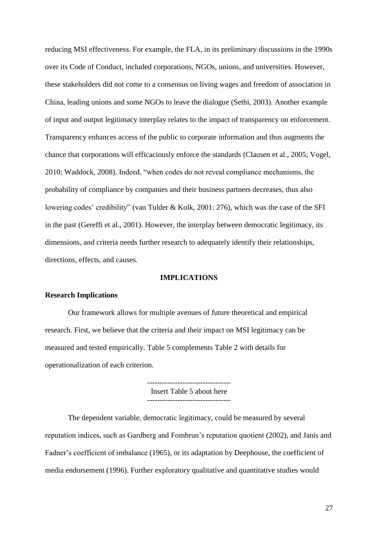reducing MSI effectiveness. For example, the FLA, in its preliminary discussions in the 1990s over its Code of Conduct, included corporations, NGOs, unions, and universities. However, these stakeholders did not come to a consensus on living wages and freedom of association in China, leading unions and some NGOs to leave the dialogue (Sethi, 2003). Another example of input and output legitimacy interplay relates to the impact of transparency on enforcement. Transparency enhances access of the public to corporate information and thus augments the chance that corporations will efficaciously enforce the standards (Clausen et al., 2005; Vogel, 2010; Waddock, 2008). Indeed, "when codes do not reveal compliance mechanisms, the probability of compliance by companies and their business partners decreases, thus also lowering codes' credibility" (van Tulder & Kolk, 2001: 276), which was the case of the SFI in the past (Gereffi et al., 2001). However, the interplay between democratic legitimacy, its dimensions, and criteria needs further research to adequately identify their relationships, directions, effects, and causes.

#### **IMPLICATIONS**

#### **Research Implications**

Our framework allows for multiple avenues of future theoretical and empirical research. First, we believe that the criteria and their impact on MSI legitimacy can be measured and tested empirically. Table 5 complements Table 2 with details for operationalization of each criterion.

> --------------------------------- Insert Table 5 about here ---------------------------------

The dependent variable, democratic legitimacy, could be measured by several reputation indices, such as Gardberg and Fombrun's reputation quotient (2002), and Janis and Fadner's coefficient of imbalance (1965), or its adaptation by Deephouse, the coefficient of media endorsement (1996). Further exploratory qualitative and quantitative studies would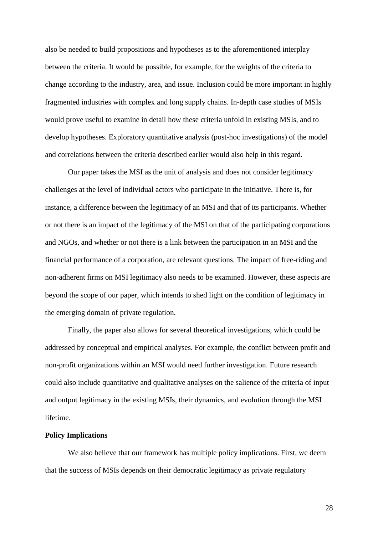also be needed to build propositions and hypotheses as to the aforementioned interplay between the criteria. It would be possible, for example, for the weights of the criteria to change according to the industry, area, and issue. Inclusion could be more important in highly fragmented industries with complex and long supply chains. In-depth case studies of MSIs would prove useful to examine in detail how these criteria unfold in existing MSIs, and to develop hypotheses. Exploratory quantitative analysis (post-hoc investigations) of the model and correlations between the criteria described earlier would also help in this regard.

Our paper takes the MSI as the unit of analysis and does not consider legitimacy challenges at the level of individual actors who participate in the initiative. There is, for instance, a difference between the legitimacy of an MSI and that of its participants. Whether or not there is an impact of the legitimacy of the MSI on that of the participating corporations and NGOs, and whether or not there is a link between the participation in an MSI and the financial performance of a corporation, are relevant questions. The impact of free-riding and non-adherent firms on MSI legitimacy also needs to be examined. However, these aspects are beyond the scope of our paper, which intends to shed light on the condition of legitimacy in the emerging domain of private regulation.

Finally, the paper also allows for several theoretical investigations, which could be addressed by conceptual and empirical analyses. For example, the conflict between profit and non-profit organizations within an MSI would need further investigation. Future research could also include quantitative and qualitative analyses on the salience of the criteria of input and output legitimacy in the existing MSIs, their dynamics, and evolution through the MSI lifetime.

#### **Policy Implications**

We also believe that our framework has multiple policy implications. First, we deem that the success of MSIs depends on their democratic legitimacy as private regulatory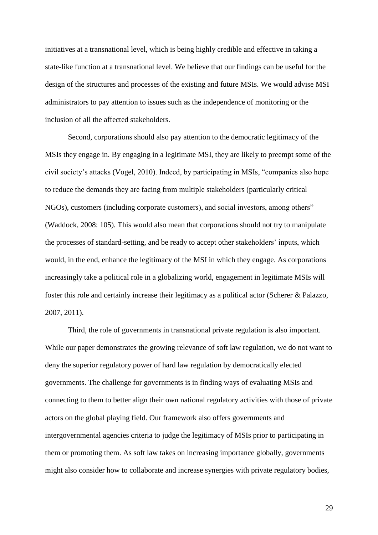initiatives at a transnational level, which is being highly credible and effective in taking a state-like function at a transnational level. We believe that our findings can be useful for the design of the structures and processes of the existing and future MSIs. We would advise MSI administrators to pay attention to issues such as the independence of monitoring or the inclusion of all the affected stakeholders.

Second, corporations should also pay attention to the democratic legitimacy of the MSIs they engage in. By engaging in a legitimate MSI, they are likely to preempt some of the civil society's attacks (Vogel, 2010). Indeed, by participating in MSIs, "companies also hope to reduce the demands they are facing from multiple stakeholders (particularly critical NGOs), customers (including corporate customers), and social investors, among others" (Waddock, 2008: 105). This would also mean that corporations should not try to manipulate the processes of standard-setting, and be ready to accept other stakeholders' inputs, which would, in the end, enhance the legitimacy of the MSI in which they engage. As corporations increasingly take a political role in a globalizing world, engagement in legitimate MSIs will foster this role and certainly increase their legitimacy as a political actor (Scherer & Palazzo, 2007, 2011).

Third, the role of governments in transnational private regulation is also important. While our paper demonstrates the growing relevance of soft law regulation, we do not want to deny the superior regulatory power of hard law regulation by democratically elected governments. The challenge for governments is in finding ways of evaluating MSIs and connecting to them to better align their own national regulatory activities with those of private actors on the global playing field. Our framework also offers governments and intergovernmental agencies criteria to judge the legitimacy of MSIs prior to participating in them or promoting them. As soft law takes on increasing importance globally, governments might also consider how to collaborate and increase synergies with private regulatory bodies,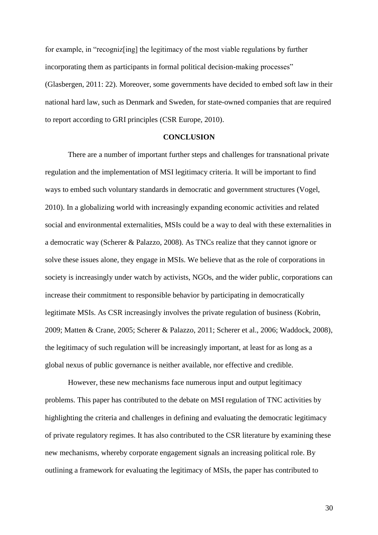for example, in "recogniz[ing] the legitimacy of the most viable regulations by further incorporating them as participants in formal political decision-making processes" (Glasbergen, 2011: 22). Moreover, some governments have decided to embed soft law in their national hard law, such as Denmark and Sweden, for state-owned companies that are required to report according to GRI principles (CSR Europe, 2010).

#### **CONCLUSION**

There are a number of important further steps and challenges for transnational private regulation and the implementation of MSI legitimacy criteria. It will be important to find ways to embed such voluntary standards in democratic and government structures (Vogel, 2010). In a globalizing world with increasingly expanding economic activities and related social and environmental externalities, MSIs could be a way to deal with these externalities in a democratic way (Scherer & Palazzo, 2008). As TNCs realize that they cannot ignore or solve these issues alone, they engage in MSIs. We believe that as the role of corporations in society is increasingly under watch by activists, NGOs, and the wider public, corporations can increase their commitment to responsible behavior by participating in democratically legitimate MSIs. As CSR increasingly involves the private regulation of business (Kobrin, 2009; Matten & Crane, 2005; Scherer & Palazzo, 2011; Scherer et al., 2006; Waddock, 2008), the legitimacy of such regulation will be increasingly important, at least for as long as a global nexus of public governance is neither available, nor effective and credible.

However, these new mechanisms face numerous input and output legitimacy problems. This paper has contributed to the debate on MSI regulation of TNC activities by highlighting the criteria and challenges in defining and evaluating the democratic legitimacy of private regulatory regimes. It has also contributed to the CSR literature by examining these new mechanisms, whereby corporate engagement signals an increasing political role. By outlining a framework for evaluating the legitimacy of MSIs, the paper has contributed to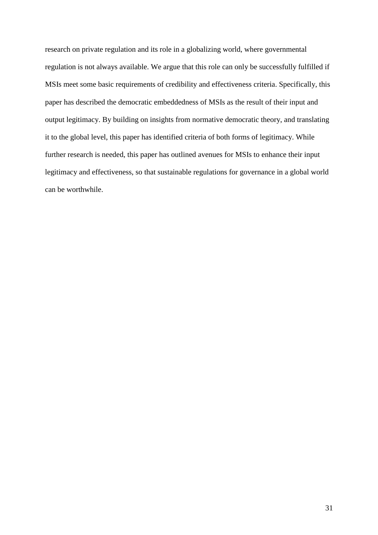research on private regulation and its role in a globalizing world, where governmental regulation is not always available. We argue that this role can only be successfully fulfilled if MSIs meet some basic requirements of credibility and effectiveness criteria. Specifically, this paper has described the democratic embeddedness of MSIs as the result of their input and output legitimacy. By building on insights from normative democratic theory, and translating it to the global level, this paper has identified criteria of both forms of legitimacy. While further research is needed, this paper has outlined avenues for MSIs to enhance their input legitimacy and effectiveness, so that sustainable regulations for governance in a global world can be worthwhile.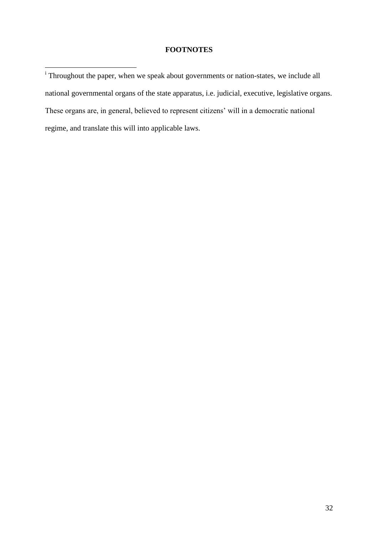#### **FOOTNOTES**

Throughout the paper, when we speak about governments or nation-states, we include all national governmental organs of the state apparatus, i.e. judicial, executive, legislative organs. These organs are, in general, believed to represent citizens' will in a democratic national regime, and translate this will into applicable laws.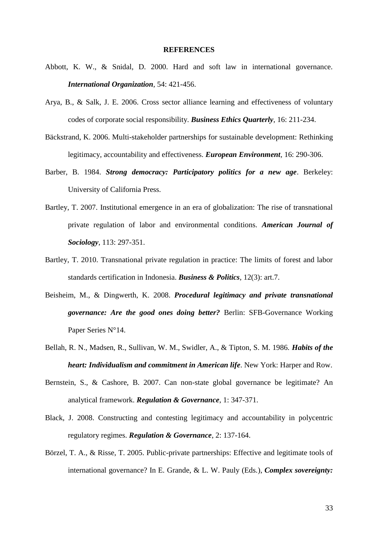#### **REFERENCES**

- Abbott, K. W., & Snidal, D. 2000. Hard and soft law in international governance. *International Organization*, 54: 421-456.
- Arya, B., & Salk, J. E. 2006. Cross sector alliance learning and effectiveness of voluntary codes of corporate social responsibility. *Business Ethics Quarterly*, 16: 211-234.
- Bäckstrand, K. 2006. Multi-stakeholder partnerships for sustainable development: Rethinking legitimacy, accountability and effectiveness. *European Environment*, 16: 290-306.
- Barber, B. 1984. *Strong democracy: Participatory politics for a new age*. Berkeley: University of California Press.
- Bartley, T. 2007. Institutional emergence in an era of globalization: The rise of transnational private regulation of labor and environmental conditions. *American Journal of Sociology*, 113: 297-351.
- Bartley, T. 2010. Transnational private regulation in practice: The limits of forest and labor standards certification in Indonesia. *Business & Politics*, 12(3): art.7.
- Beisheim, M., & Dingwerth, K. 2008. *Procedural legitimacy and private transnational governance: Are the good ones doing better?* Berlin: SFB-Governance Working Paper Series N°14.
- Bellah, R. N., Madsen, R., Sullivan, W. M., Swidler, A., & Tipton, S. M. 1986. *Habits of the heart: Individualism and commitment in American life*. New York: Harper and Row.
- Bernstein, S., & Cashore, B. 2007. Can non-state global governance be legitimate? An analytical framework. *Regulation & Governance*, 1: 347-371.
- Black, J. 2008. Constructing and contesting legitimacy and accountability in polycentric regulatory regimes. *Regulation & Governance*, 2: 137-164.
- Börzel, T. A., & Risse, T. 2005. Public-private partnerships: Effective and legitimate tools of international governance? In E. Grande, & L. W. Pauly (Eds.), *Complex sovereignty:*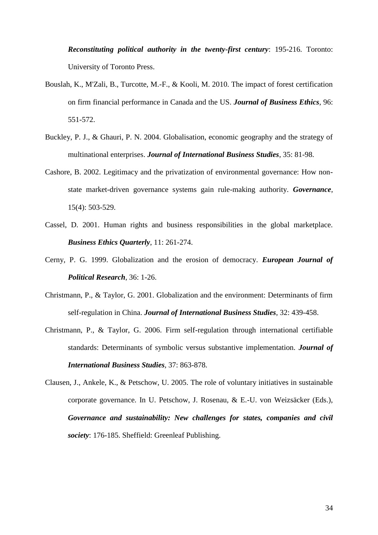*Reconstituting political authority in the twenty-first century*: 195-216. Toronto: University of Toronto Press.

- Bouslah, K., M'Zali, B., Turcotte, M.-F., & Kooli, M. 2010. The impact of forest certification on firm financial performance in Canada and the US. *Journal of Business Ethics*, 96: 551-572.
- Buckley, P. J., & Ghauri, P. N. 2004. Globalisation, economic geography and the strategy of multinational enterprises. *Journal of International Business Studies*, 35: 81-98.
- Cashore, B. 2002. Legitimacy and the privatization of environmental governance: How nonstate market-driven governance systems gain rule-making authority. *Governance*, 15(4): 503-529.
- Cassel, D. 2001. Human rights and business responsibilities in the global marketplace. *Business Ethics Quarterly*, 11: 261-274.
- Cerny, P. G. 1999. Globalization and the erosion of democracy. *European Journal of Political Research*, 36: 1-26.
- Christmann, P., & Taylor, G. 2001. Globalization and the environment: Determinants of firm self-regulation in China. *Journal of International Business Studies*, 32: 439-458.
- Christmann, P., & Taylor, G. 2006. Firm self-regulation through international certifiable standards: Determinants of symbolic versus substantive implementation. *Journal of International Business Studies*, 37: 863-878.
- Clausen, J., Ankele, K., & Petschow, U. 2005. The role of voluntary initiatives in sustainable corporate governance. In U. Petschow, J. Rosenau, & E.-U. von Weizsäcker (Eds.), *Governance and sustainability: New challenges for states, companies and civil society*: 176-185. Sheffield: Greenleaf Publishing.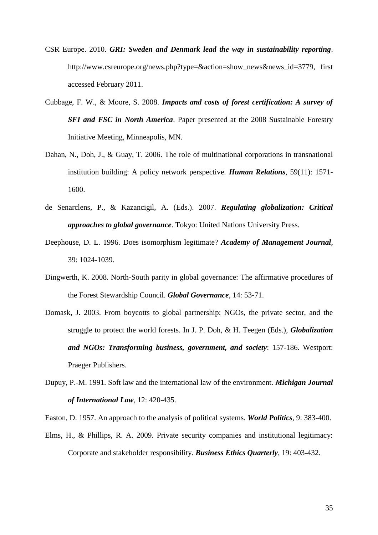- CSR Europe. 2010. *GRI: Sweden and Denmark lead the way in sustainability reporting*. http://www.csreurope.org/news.php?type=&action=show\_news&news\_id=3779, first accessed February 2011.
- Cubbage, F. W., & Moore, S. 2008. *Impacts and costs of forest certification: A survey of SFI and FSC in North America*. Paper presented at the 2008 Sustainable Forestry Initiative Meeting, Minneapolis, MN.
- Dahan, N., Doh, J., & Guay, T. 2006. The role of multinational corporations in transnational institution building: A policy network perspective. *Human Relations*, 59(11): 1571- 1600.
- de Senarclens, P., & Kazancigil, A. (Eds.). 2007. *Regulating globalization: Critical approaches to global governance*. Tokyo: United Nations University Press.
- Deephouse, D. L. 1996. Does isomorphism legitimate? *Academy of Management Journal*, 39: 1024-1039.
- Dingwerth, K. 2008. North-South parity in global governance: The affirmative procedures of the Forest Stewardship Council. *Global Governance*, 14: 53-71.
- Domask, J. 2003. From boycotts to global partnership: NGOs, the private sector, and the struggle to protect the world forests. In J. P. Doh, & H. Teegen (Eds.), *Globalization and NGOs: Transforming business, government, and society*: 157-186. Westport: Praeger Publishers.
- Dupuy, P.-M. 1991. Soft law and the international law of the environment. *Michigan Journal of International Law*, 12: 420-435.

Easton, D. 1957. An approach to the analysis of political systems. *World Politics*, 9: 383-400.

Elms, H., & Phillips, R. A. 2009. Private security companies and institutional legitimacy: Corporate and stakeholder responsibility. *Business Ethics Quarterly*, 19: 403-432.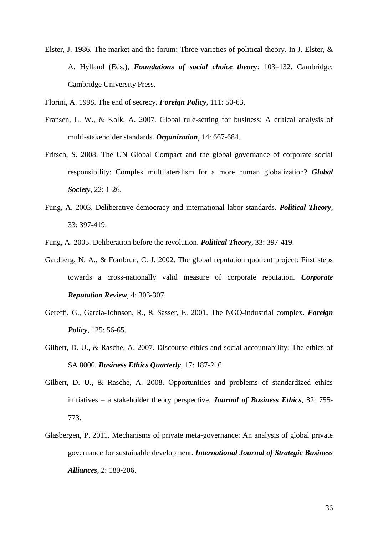Elster, J. 1986. The market and the forum: Three varieties of political theory. In J. Elster, & A. Hylland (Eds.), *Foundations of social choice theory*: 103–132. Cambridge: Cambridge University Press.

Florini, A. 1998. The end of secrecy. *Foreign Policy*, 111: 50-63.

- Fransen, L. W., & Kolk, A. 2007. Global rule-setting for business: A critical analysis of multi-stakeholder standards. *Organization*, 14: 667-684.
- Fritsch, S. 2008. The UN Global Compact and the global governance of corporate social responsibility: Complex multilateralism for a more human globalization? *Global Society*, 22: 1-26.
- Fung, A. 2003. Deliberative democracy and international labor standards. *Political Theory*, 33: 397-419.

Fung, A. 2005. Deliberation before the revolution. *Political Theory*, 33: 397-419.

- Gardberg, N. A., & Fombrun, C. J. 2002. The global reputation quotient project: First steps towards a cross-nationally valid measure of corporate reputation. *Corporate Reputation Review*, 4: 303-307.
- Gereffi, G., Garcia-Johnson, R., & Sasser, E. 2001. The NGO-industrial complex. *Foreign Policy*, 125: 56-65.
- Gilbert, D. U., & Rasche, A. 2007. Discourse ethics and social accountability: The ethics of SA 8000. *Business Ethics Quarterly*, 17: 187-216.
- Gilbert, D. U., & Rasche, A. 2008. Opportunities and problems of standardized ethics initiatives – a stakeholder theory perspective. *Journal of Business Ethics*, 82: 755- 773.
- Glasbergen, P. 2011. Mechanisms of private meta-governance: An analysis of global private governance for sustainable development. *International Journal of Strategic Business Alliances*, 2: 189-206.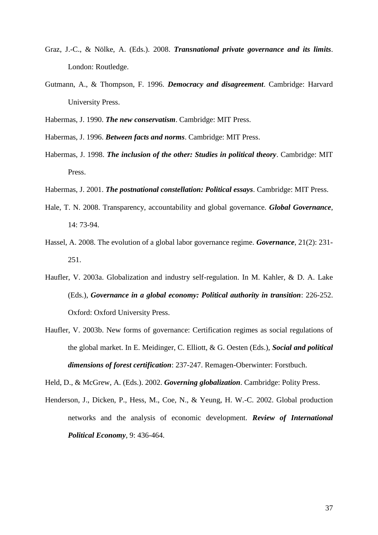- Graz, J.-C., & Nölke, A. (Eds.). 2008. *Transnational private governance and its limits*. London: Routledge.
- Gutmann, A., & Thompson, F. 1996. *Democracy and disagreement*. Cambridge: Harvard University Press.
- Habermas, J. 1990. *The new conservatism*. Cambridge: MIT Press.
- Habermas, J. 1996. *Between facts and norms*. Cambridge: MIT Press.
- Habermas, J. 1998. *The inclusion of the other: Studies in political theory*. Cambridge: MIT Press.
- Habermas, J. 2001. *The postnational constellation: Political essays*. Cambridge: MIT Press.
- Hale, T. N. 2008. Transparency, accountability and global governance. *Global Governance*, 14: 73-94.
- Hassel, A. 2008. The evolution of a global labor governance regime. *Governance*, 21(2): 231- 251.
- Haufler, V. 2003a. Globalization and industry self-regulation. In M. Kahler, & D. A. Lake (Eds.), *Governance in a global economy: Political authority in transition*: 226-252. Oxford: Oxford University Press.
- Haufler, V. 2003b. New forms of governance: Certification regimes as social regulations of the global market. In E. Meidinger, C. Elliott, & G. Oesten (Eds.), *Social and political dimensions of forest certification*: 237-247. Remagen-Oberwinter: Forstbuch.

Held, D., & McGrew, A. (Eds.). 2002. *Governing globalization*. Cambridge: Polity Press.

Henderson, J., Dicken, P., Hess, M., Coe, N., & Yeung, H. W.-C. 2002. Global production networks and the analysis of economic development. *Review of International Political Economy*, 9: 436-464.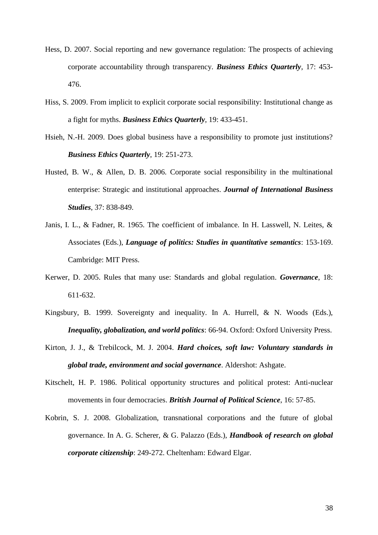- Hess, D. 2007. Social reporting and new governance regulation: The prospects of achieving corporate accountability through transparency. *Business Ethics Quarterly*, 17: 453- 476.
- Hiss, S. 2009. From implicit to explicit corporate social responsibility: Institutional change as a fight for myths. *Business Ethics Quarterly*, 19: 433-451.
- Hsieh, N.-H. 2009. Does global business have a responsibility to promote just institutions? *Business Ethics Quarterly*, 19: 251-273.
- Husted, B. W., & Allen, D. B. 2006. Corporate social responsibility in the multinational enterprise: Strategic and institutional approaches. *Journal of International Business Studies*, 37: 838-849.
- Janis, I. L., & Fadner, R. 1965. The coefficient of imbalance. In H. Lasswell, N. Leites, & Associates (Eds.), *Language of politics: Studies in quantitative semantics*: 153-169. Cambridge: MIT Press.
- Kerwer, D. 2005. Rules that many use: Standards and global regulation. *Governance*, 18: 611-632.
- Kingsbury, B. 1999. Sovereignty and inequality. In A. Hurrell, & N. Woods (Eds.), *Inequality, globalization, and world politics*: 66-94. Oxford: Oxford University Press.
- Kirton, J. J., & Trebilcock, M. J. 2004. *Hard choices, soft law: Voluntary standards in global trade, environment and social governance*. Aldershot: Ashgate.
- Kitschelt, H. P. 1986. Political opportunity structures and political protest: Anti-nuclear movements in four democracies. *British Journal of Political Science*, 16: 57-85.
- Kobrin, S. J. 2008. Globalization, transnational corporations and the future of global governance. In A. G. Scherer, & G. Palazzo (Eds.), *Handbook of research on global corporate citizenship*: 249-272. Cheltenham: Edward Elgar.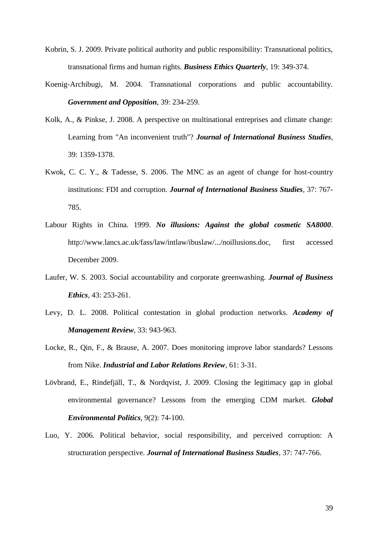- Kobrin, S. J. 2009. Private political authority and public responsibility: Transnational politics, transnational firms and human rights. *Business Ethics Quarterly*, 19: 349-374.
- Koenig-Archibugi, M. 2004. Transnational corporations and public accountability. *Government and Opposition*, 39: 234-259.
- Kolk, A., & Pinkse, J. 2008. A perspective on multinational entreprises and climate change: Learning from "An inconvenient truth"? *Journal of International Business Studies*, 39: 1359-1378.
- Kwok, C. C. Y., & Tadesse, S. 2006. The MNC as an agent of change for host-country institutions: FDI and corruption. *Journal of International Business Studies*, 37: 767- 785.
- Labour Rights in China. 1999. *No illusions: Against the global cosmetic SA8000*. http://www.lancs.ac.uk/fass/law/intlaw/ibuslaw/.../noillusions.doc, first accessed December 2009.
- Laufer, W. S. 2003. Social accountability and corporate greenwashing. *Journal of Business Ethics*, 43: 253-261.
- Levy, D. L. 2008. Political contestation in global production networks. *Academy of Management Review*, 33: 943-963.
- Locke, R., Qin, F., & Brause, A. 2007. Does monitoring improve labor standards? Lessons from Nike. *Industrial and Labor Relations Review*, 61: 3-31.
- Lövbrand, E., Rindefjäll, T., & Nordqvist, J. 2009. Closing the legitimacy gap in global environmental governance? Lessons from the emerging CDM market. *Global Environmental Politics*, 9(2): 74-100.
- Luo, Y. 2006. Political behavior, social responsibility, and perceived corruption: A structuration perspective. *Journal of International Business Studies*, 37: 747-766.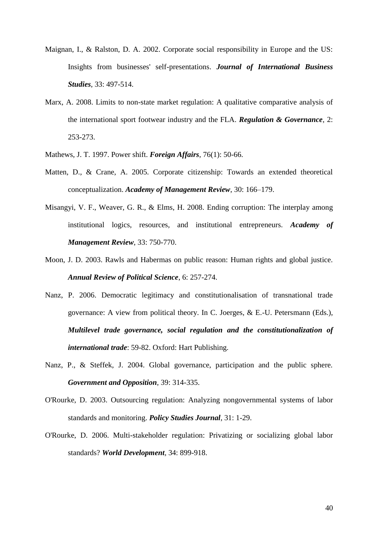- Maignan, I., & Ralston, D. A. 2002. Corporate social responsibility in Europe and the US: Insights from businesses' self-presentations. *Journal of International Business Studies*, 33: 497-514.
- Marx, A. 2008. Limits to non-state market regulation: A qualitative comparative analysis of the international sport footwear industry and the FLA. *Regulation & Governance*, 2: 253-273.
- Mathews, J. T. 1997. Power shift. *Foreign Affairs*, 76(1): 50-66.
- Matten, D., & Crane, A. 2005. Corporate citizenship: Towards an extended theoretical conceptualization. *Academy of Management Review*, 30: 166–179.
- Misangyi, V. F., Weaver, G. R., & Elms, H. 2008. Ending corruption: The interplay among institutional logics, resources, and institutional entrepreneurs. *Academy of Management Review*, 33: 750-770.
- Moon, J. D. 2003. Rawls and Habermas on public reason: Human rights and global justice. *Annual Review of Political Science*, 6: 257-274.
- Nanz, P. 2006. Democratic legitimacy and constitutionalisation of transnational trade governance: A view from political theory. In C. Joerges, & E.-U. Petersmann (Eds.), *Multilevel trade governance, social regulation and the constitutionalization of international trade*: 59-82. Oxford: Hart Publishing.
- Nanz, P., & Steffek, J. 2004. Global governance, participation and the public sphere. *Government and Opposition*, 39: 314-335.
- O'Rourke, D. 2003. Outsourcing regulation: Analyzing nongovernmental systems of labor standards and monitoring. *Policy Studies Journal*, 31: 1-29.
- O'Rourke, D. 2006. Multi-stakeholder regulation: Privatizing or socializing global labor standards? *World Development*, 34: 899-918.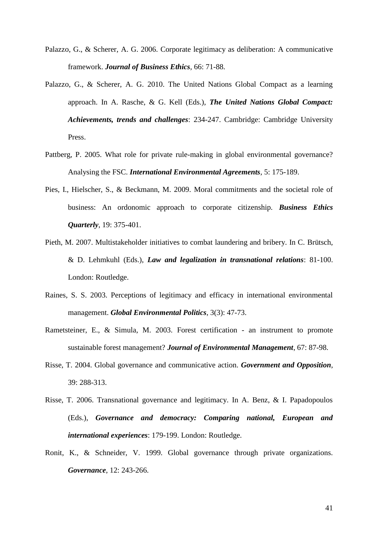- Palazzo, G., & Scherer, A. G. 2006. Corporate legitimacy as deliberation: A communicative framework. *Journal of Business Ethics*, 66: 71-88.
- Palazzo, G., & Scherer, A. G. 2010. The United Nations Global Compact as a learning approach. In A. Rasche, & G. Kell (Eds.), *The United Nations Global Compact: Achievements, trends and challenges*: 234-247. Cambridge: Cambridge University Press.
- Pattberg, P. 2005. What role for private rule-making in global environmental governance? Analysing the FSC. *International Environmental Agreements*, 5: 175-189.
- Pies, I., Hielscher, S., & Beckmann, M. 2009. Moral commitments and the societal role of business: An ordonomic approach to corporate citizenship. *Business Ethics Quarterly*, 19: 375-401.
- Pieth, M. 2007. Multistakeholder initiatives to combat laundering and bribery. In C. Brütsch, & D. Lehmkuhl (Eds.), *Law and legalization in transnational relations*: 81-100. London: Routledge.
- Raines, S. S. 2003. Perceptions of legitimacy and efficacy in international environmental management. *Global Environmental Politics*, 3(3): 47-73.
- Rametsteiner, E., & Simula, M. 2003. Forest certification an instrument to promote sustainable forest management? *Journal of Environmental Management*, 67: 87-98.
- Risse, T. 2004. Global governance and communicative action. *Government and Opposition*, 39: 288-313.
- Risse, T. 2006. Transnational governance and legitimacy. In A. Benz, & I. Papadopoulos (Eds.), *Governance and democracy: Comparing national, European and international experiences*: 179-199. London: Routledge.
- Ronit, K., & Schneider, V. 1999. Global governance through private organizations. *Governance*, 12: 243-266.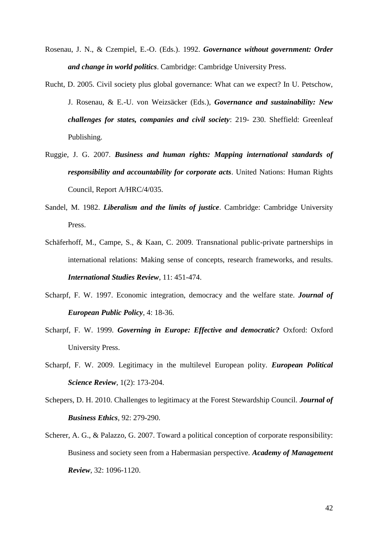- Rosenau, J. N., & Czempiel, E.-O. (Eds.). 1992. *Governance without government: Order and change in world politics*. Cambridge: Cambridge University Press.
- Rucht, D. 2005. Civil society plus global governance: What can we expect? In U. Petschow, J. Rosenau, & E.-U. von Weizsäcker (Eds.), *Governance and sustainability: New challenges for states, companies and civil society*: 219- 230. Sheffield: Greenleaf Publishing.
- Ruggie, J. G. 2007. *Business and human rights: Mapping international standards of responsibility and accountability for corporate acts*. United Nations: Human Rights Council, Report A/HRC/4/035.
- Sandel, M. 1982. *Liberalism and the limits of justice*. Cambridge: Cambridge University Press.
- Schäferhoff, M., Campe, S., & Kaan, C. 2009. Transnational public-private partnerships in international relations: Making sense of concepts, research frameworks, and results. *International Studies Review*, 11: 451-474.
- Scharpf, F. W. 1997. Economic integration, democracy and the welfare state. *Journal of European Public Policy*, 4: 18-36.
- Scharpf, F. W. 1999. *Governing in Europe: Effective and democratic?* Oxford: Oxford University Press.
- Scharpf, F. W. 2009. Legitimacy in the multilevel European polity. *European Political Science Review*, 1(2): 173-204.
- Schepers, D. H. 2010. Challenges to legitimacy at the Forest Stewardship Council. *Journal of Business Ethics*, 92: 279-290.
- Scherer, A. G., & Palazzo, G. 2007. Toward a political conception of corporate responsibility: Business and society seen from a Habermasian perspective. *Academy of Management Review*, 32: 1096-1120.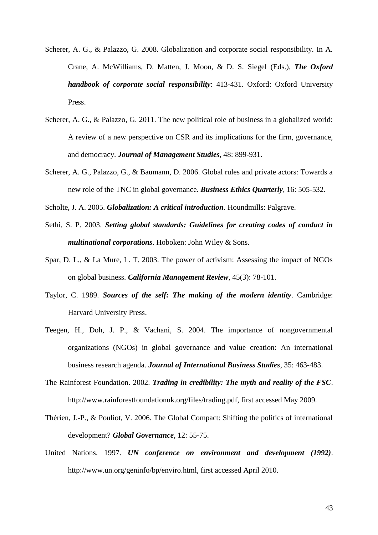- Scherer, A. G., & Palazzo, G. 2008. Globalization and corporate social responsibility. In A. Crane, A. McWilliams, D. Matten, J. Moon, & D. S. Siegel (Eds.), *The Oxford handbook of corporate social responsibility*: 413-431. Oxford: Oxford University Press.
- Scherer, A. G., & Palazzo, G. 2011. The new political role of business in a globalized world: A review of a new perspective on CSR and its implications for the firm, governance, and democracy. *Journal of Management Studies*, 48: 899-931.
- Scherer, A. G., Palazzo, G., & Baumann, D. 2006. Global rules and private actors: Towards a new role of the TNC in global governance. *Business Ethics Quarterly*, 16: 505-532.
- Scholte, J. A. 2005. *Globalization: A critical introduction*. Houndmills: Palgrave.
- Sethi, S. P. 2003. *Setting global standards: Guidelines for creating codes of conduct in multinational corporations*. Hoboken: John Wiley & Sons.
- Spar, D. L., & La Mure, L. T. 2003. The power of activism: Assessing the impact of NGOs on global business. *California Management Review*, 45(3): 78-101.
- Taylor, C. 1989. *Sources of the self: The making of the modern identity*. Cambridge: Harvard University Press.
- Teegen, H., Doh, J. P., & Vachani, S. 2004. The importance of nongovernmental organizations (NGOs) in global governance and value creation: An international business research agenda. *Journal of International Business Studies*, 35: 463-483.
- The Rainforest Foundation. 2002. *Trading in credibility: The myth and reality of the FSC*. http://www.rainforestfoundationuk.org/files/trading.pdf, first accessed May 2009.
- Thérien, J.-P., & Pouliot, V. 2006. The Global Compact: Shifting the politics of international development? *Global Governance*, 12: 55-75.
- United Nations. 1997. *UN conference on environment and development (1992)*. http://www.un.org/geninfo/bp/enviro.html, first accessed April 2010.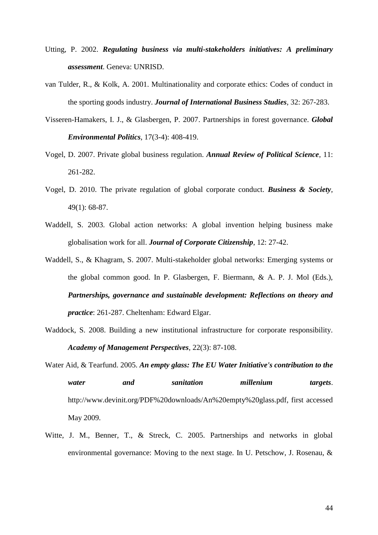- Utting, P. 2002. *Regulating business via multi-stakeholders initiatives: A preliminary assessment*. Geneva: UNRISD.
- van Tulder, R., & Kolk, A. 2001. Multinationality and corporate ethics: Codes of conduct in the sporting goods industry. *Journal of International Business Studies*, 32: 267-283.
- Visseren-Hamakers, I. J., & Glasbergen, P. 2007. Partnerships in forest governance. *Global Environmental Politics*, 17(3-4): 408-419.
- Vogel, D. 2007. Private global business regulation. *Annual Review of Political Science*, 11: 261-282.
- Vogel, D. 2010. The private regulation of global corporate conduct. *Business & Society*, 49(1): 68-87.
- Waddell, S. 2003. Global action networks: A global invention helping business make globalisation work for all. *Journal of Corporate Citizenship*, 12: 27-42.
- Waddell, S., & Khagram, S. 2007. Multi-stakeholder global networks: Emerging systems or the global common good. In P. Glasbergen, F. Biermann, & A. P. J. Mol (Eds.), *Partnerships, governance and sustainable development: Reflections on theory and practice*: 261-287. Cheltenham: Edward Elgar.
- Waddock, S. 2008. Building a new institutional infrastructure for corporate responsibility. *Academy of Management Perspectives*, 22(3): 87-108.
- Water Aid, & Tearfund. 2005. *An empty glass: The EU Water Initiative's contribution to the water and sanitation millenium targets*. http://www.devinit.org/PDF%20downloads/An%20empty%20glass.pdf, first accessed May 2009.
- Witte, J. M., Benner, T., & Streck, C. 2005. Partnerships and networks in global environmental governance: Moving to the next stage. In U. Petschow, J. Rosenau, &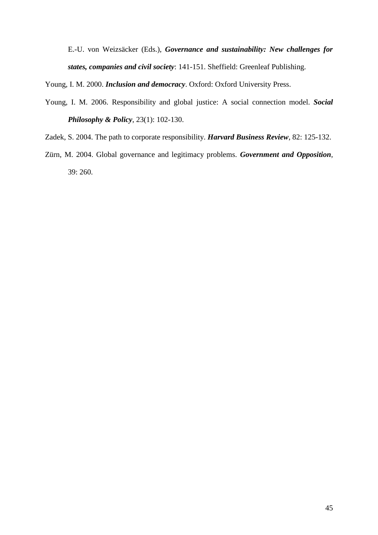E.-U. von Weizsäcker (Eds.), *Governance and sustainability: New challenges for states, companies and civil society*: 141-151. Sheffield: Greenleaf Publishing.

Young, I. M. 2000. *Inclusion and democracy*. Oxford: Oxford University Press.

- Young, I. M. 2006. Responsibility and global justice: A social connection model. *Social Philosophy & Policy*, 23(1): 102-130.
- Zadek, S. 2004. The path to corporate responsibility. *Harvard Business Review*, 82: 125-132.
- Zürn, M. 2004. Global governance and legitimacy problems. *Government and Opposition*, 39: 260.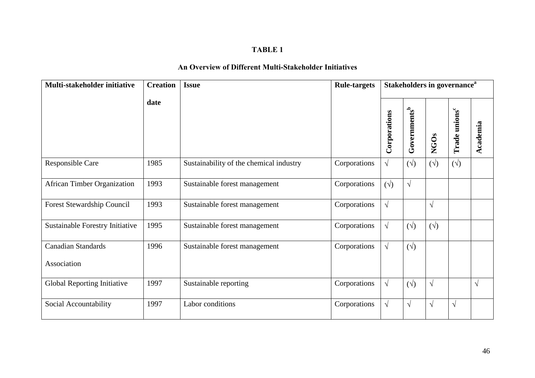## **An Overview of Different Multi-Stakeholder Initiatives**

| Multi-stakeholder initiative             | <b>Creation</b> | <b>Issue</b>                            | <b>Rule-targets</b> | Stakeholders in governance <sup>a</sup> |                          |              |                           |            |
|------------------------------------------|-----------------|-----------------------------------------|---------------------|-----------------------------------------|--------------------------|--------------|---------------------------|------------|
|                                          | date            |                                         |                     | Corporations                            | Governments <sup>b</sup> | <b>NGOs</b>  | Trade unions <sup>c</sup> | Academia   |
| <b>Responsible Care</b>                  | 1985            | Sustainability of the chemical industry | Corporations        | $\sqrt{}$                               | $(\sqrt{2})$             | $(\sqrt{2})$ | $(\sqrt{2})$              |            |
| <b>African Timber Organization</b>       | 1993            | Sustainable forest management           | Corporations        | $(\sqrt{})$                             | $\sqrt{ }$               |              |                           |            |
| Forest Stewardship Council               | 1993            | Sustainable forest management           | Corporations        | $\sqrt{}$                               |                          | $\sqrt{ }$   |                           |            |
| Sustainable Forestry Initiative          | 1995            | Sustainable forest management           | Corporations        | $\sqrt{}$                               | $(\forall)$              | $(\forall)$  |                           |            |
| <b>Canadian Standards</b><br>Association | 1996            | Sustainable forest management           | Corporations        | $\sqrt{}$                               | $(\sqrt{2})$             |              |                           |            |
| Global Reporting Initiative              | 1997            | Sustainable reporting                   | Corporations        | $\sqrt{}$                               | $(\forall)$              | $\sqrt{ }$   |                           | $\sqrt{ }$ |
| Social Accountability                    | 1997            | Labor conditions                        | Corporations        | $\sqrt{}$                               | $\sqrt{ }$               | $\sqrt{ }$   | $\sqrt{ }$                |            |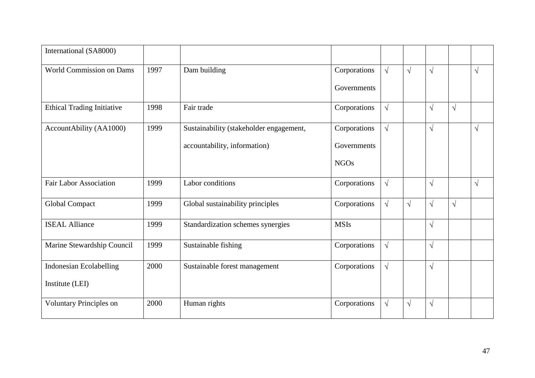| International (SA8000)            |      |                                         |              |            |           |            |           |            |
|-----------------------------------|------|-----------------------------------------|--------------|------------|-----------|------------|-----------|------------|
| <b>World Commission on Dams</b>   | 1997 | Dam building                            | Corporations | $\sqrt{ }$ | $\sqrt{}$ | $\sqrt{}$  |           | $\sqrt{}$  |
|                                   |      |                                         | Governments  |            |           |            |           |            |
| <b>Ethical Trading Initiative</b> | 1998 | Fair trade                              | Corporations | $\sqrt{}$  |           | $\sqrt{ }$ | $\sqrt{}$ |            |
| AccountAbility (AA1000)           | 1999 | Sustainability (stakeholder engagement, | Corporations | $\sqrt{}$  |           | $\sqrt{}$  |           | $\sqrt{ }$ |
|                                   |      | accountability, information)            | Governments  |            |           |            |           |            |
|                                   |      |                                         | <b>NGOs</b>  |            |           |            |           |            |
| <b>Fair Labor Association</b>     | 1999 | Labor conditions                        | Corporations | $\sqrt{ }$ |           | $\sqrt{}$  |           | $\sqrt{ }$ |
| <b>Global Compact</b>             | 1999 | Global sustainability principles        | Corporations | $\sqrt{}$  | $\sqrt{}$ | $\sqrt{ }$ | $\sqrt{}$ |            |
| <b>ISEAL Alliance</b>             | 1999 | Standardization schemes synergies       | <b>MSIs</b>  |            |           | $\sqrt{}$  |           |            |
| Marine Stewardship Council        | 1999 | Sustainable fishing                     | Corporations | $\sqrt{ }$ |           | $\sqrt{}$  |           |            |
| <b>Indonesian Ecolabelling</b>    | 2000 | Sustainable forest management           | Corporations | $\sqrt{ }$ |           | $\sqrt{ }$ |           |            |
| Institute (LEI)                   |      |                                         |              |            |           |            |           |            |
| <b>Voluntary Principles on</b>    | 2000 | Human rights                            | Corporations | $\sqrt{ }$ | $\sqrt{}$ | $\sqrt{}$  |           |            |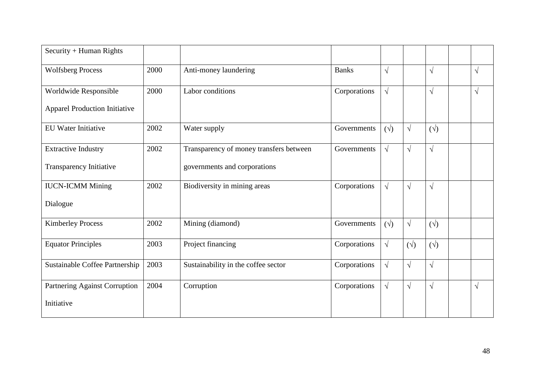| Security + Human Rights              |      |                                         |              |             |             |             |           |
|--------------------------------------|------|-----------------------------------------|--------------|-------------|-------------|-------------|-----------|
| <b>Wolfsberg Process</b>             | 2000 | Anti-money laundering                   | <b>Banks</b> | $\sqrt{ }$  |             | $\sqrt{ }$  | $\sqrt{}$ |
| Worldwide Responsible                | 2000 | Labor conditions                        | Corporations | $\sqrt{ }$  |             | $\sqrt{ }$  | $\sqrt{}$ |
| <b>Apparel Production Initiative</b> |      |                                         |              |             |             |             |           |
| <b>EU</b> Water Initiative           | 2002 | Water supply                            | Governments  | $(\forall)$ | $\sqrt{ }$  | $(\sqrt{})$ |           |
| <b>Extractive Industry</b>           | 2002 | Transparency of money transfers between | Governments  | $\sqrt{ }$  | $\sqrt{ }$  | $\sqrt{ }$  |           |
| Transparency Initiative              |      | governments and corporations            |              |             |             |             |           |
| <b>IUCN-ICMM Mining</b>              | 2002 | Biodiversity in mining areas            | Corporations | $\sqrt{ }$  | $\sqrt{ }$  | $\sqrt{ }$  |           |
| Dialogue                             |      |                                         |              |             |             |             |           |
| <b>Kimberley Process</b>             | 2002 | Mining (diamond)                        | Governments  | $(\forall)$ | $\sqrt{ }$  | $(\forall)$ |           |
| <b>Equator Principles</b>            | 2003 | Project financing                       | Corporations | $\sqrt{ }$  | $(\sqrt{})$ | $(\sqrt{})$ |           |
| Sustainable Coffee Partnership       | 2003 | Sustainability in the coffee sector     | Corporations | $\sqrt{ }$  | $\sqrt{ }$  | $\sqrt{ }$  |           |
| Partnering Against Corruption        | 2004 | Corruption                              | Corporations | $\sqrt{ }$  | $\sqrt{ }$  | $\sqrt{ }$  | $\sqrt{}$ |
| Initiative                           |      |                                         |              |             |             |             |           |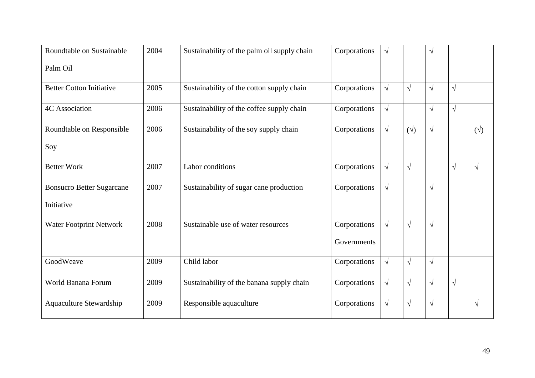| Roundtable on Sustainable        | 2004 | Sustainability of the palm oil supply chain | Corporations | $\sqrt{ }$ |             | $\sqrt{ }$ |           |              |
|----------------------------------|------|---------------------------------------------|--------------|------------|-------------|------------|-----------|--------------|
| Palm Oil                         |      |                                             |              |            |             |            |           |              |
| <b>Better Cotton Initiative</b>  | 2005 | Sustainability of the cotton supply chain   | Corporations | $\sqrt{ }$ | $\sqrt{ }$  | $\sqrt{ }$ | $\sqrt{}$ |              |
| <b>4C</b> Association            | 2006 | Sustainability of the coffee supply chain   | Corporations | $\sqrt{ }$ |             | $\sqrt{ }$ | $\sqrt{}$ |              |
| Roundtable on Responsible        | 2006 | Sustainability of the soy supply chain      | Corporations | $\sqrt{}$  | $(\forall)$ | $\sqrt{}$  |           | $(\sqrt{2})$ |
| Soy                              |      |                                             |              |            |             |            |           |              |
| <b>Better Work</b>               | 2007 | Labor conditions                            | Corporations | $\sqrt{}$  | $\sqrt{ }$  |            | $\sqrt{}$ | $\sqrt{}$    |
| <b>Bonsucro Better Sugarcane</b> | 2007 | Sustainability of sugar cane production     | Corporations | $\sqrt{ }$ |             | $\sqrt{ }$ |           |              |
| Initiative                       |      |                                             |              |            |             |            |           |              |
| Water Footprint Network          | 2008 | Sustainable use of water resources          | Corporations | $\sqrt{}$  | $\sqrt{ }$  | $\sqrt{ }$ |           |              |
|                                  |      |                                             | Governments  |            |             |            |           |              |
| GoodWeave                        | 2009 | Child labor                                 | Corporations | $\sqrt{}$  | $\sqrt{ }$  | $\sqrt{}$  |           |              |
| World Banana Forum               | 2009 | Sustainability of the banana supply chain   | Corporations | $\sqrt{ }$ | $\sqrt{ }$  | $\sqrt{ }$ | $\sqrt{}$ |              |
| Aquaculture Stewardship          | 2009 | Responsible aquaculture                     | Corporations | $\sqrt{ }$ | $\sqrt{ }$  | $\sqrt{ }$ |           | $\sqrt{}$    |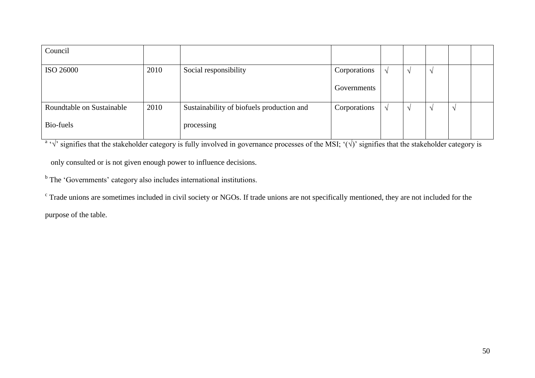| Council                   |      |                                           |              |  |               |  |
|---------------------------|------|-------------------------------------------|--------------|--|---------------|--|
| ISO 26000                 | 2010 | Social responsibility                     | Corporations |  |               |  |
|                           |      |                                           | Governments  |  |               |  |
| Roundtable on Sustainable | 2010 | Sustainability of biofuels production and | Corporations |  | $\mathcal{N}$ |  |
| Bio-fuels                 |      | processing                                |              |  |               |  |

<sup>a</sup>  $\sqrt{ }$  signifies that the stakeholder category is fully involved in governance processes of the MSI;  $\hat{ }(\sqrt{ }')$  signifies that the stakeholder category is

only consulted or is not given enough power to influence decisions.

<sup>b</sup> The 'Governments' category also includes international institutions.

<sup>c</sup> Trade unions are sometimes included in civil society or NGOs. If trade unions are not specifically mentioned, they are not included for the

purpose of the table.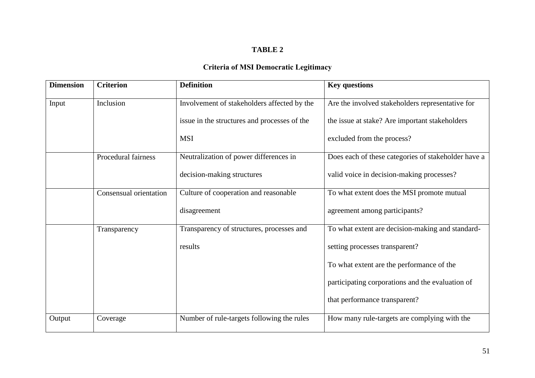## **Criteria of MSI Democratic Legitimacy**

| <b>Dimension</b> | <b>Criterion</b>       | <b>Definition</b>                            | <b>Key questions</b>                                |
|------------------|------------------------|----------------------------------------------|-----------------------------------------------------|
| Input            | Inclusion              | Involvement of stakeholders affected by the  | Are the involved stakeholders representative for    |
|                  |                        | issue in the structures and processes of the | the issue at stake? Are important stakeholders      |
|                  |                        | <b>MSI</b>                                   | excluded from the process?                          |
|                  | Procedural fairness    | Neutralization of power differences in       | Does each of these categories of stakeholder have a |
|                  |                        | decision-making structures                   | valid voice in decision-making processes?           |
|                  | Consensual orientation | Culture of cooperation and reasonable        | To what extent does the MSI promote mutual          |
|                  |                        | disagreement                                 | agreement among participants?                       |
|                  | Transparency           | Transparency of structures, processes and    | To what extent are decision-making and standard-    |
|                  |                        | results                                      | setting processes transparent?                      |
|                  |                        |                                              | To what extent are the performance of the           |
|                  |                        |                                              | participating corporations and the evaluation of    |
|                  |                        |                                              | that performance transparent?                       |
| Output           | Coverage               | Number of rule-targets following the rules   | How many rule-targets are complying with the        |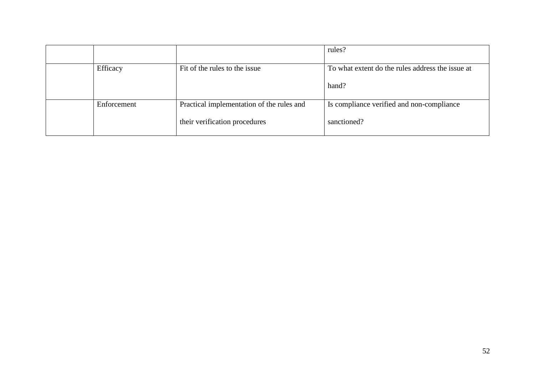|             |                                                                            | rules?                                                    |
|-------------|----------------------------------------------------------------------------|-----------------------------------------------------------|
| Efficacy    | Fit of the rules to the issue                                              | To what extent do the rules address the issue at<br>hand? |
| Enforcement | Practical implementation of the rules and<br>their verification procedures | Is compliance verified and non-compliance<br>sanctioned?  |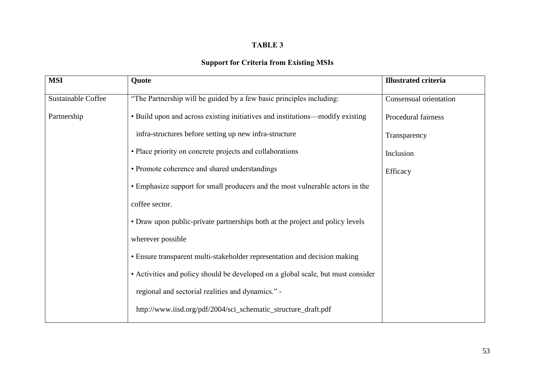## **Support for Criteria from Existing MSIs**

| <b>MSI</b>                | Quote                                                                            | <b>Illustrated criteria</b> |
|---------------------------|----------------------------------------------------------------------------------|-----------------------------|
| <b>Sustainable Coffee</b> | "The Partnership will be guided by a few basic principles including:             | Consensual orientation      |
| Partnership               | • Build upon and across existing initiatives and institutions—modify existing    | Procedural fairness         |
|                           | infra-structures before setting up new infra-structure                           | Transparency                |
|                           | • Place priority on concrete projects and collaborations                         | Inclusion                   |
|                           | • Promote coherence and shared understandings                                    | Efficacy                    |
|                           | • Emphasize support for small producers and the most vulnerable actors in the    |                             |
|                           | coffee sector.                                                                   |                             |
|                           | • Draw upon public-private partnerships both at the project and policy levels    |                             |
|                           | wherever possible                                                                |                             |
|                           | • Ensure transparent multi-stakeholder representation and decision making        |                             |
|                           | • Activities and policy should be developed on a global scale, but must consider |                             |
|                           | regional and sectorial realities and dynamics." -                                |                             |
|                           | http://www.iisd.org/pdf/2004/sci_schematic_structure_draft.pdf                   |                             |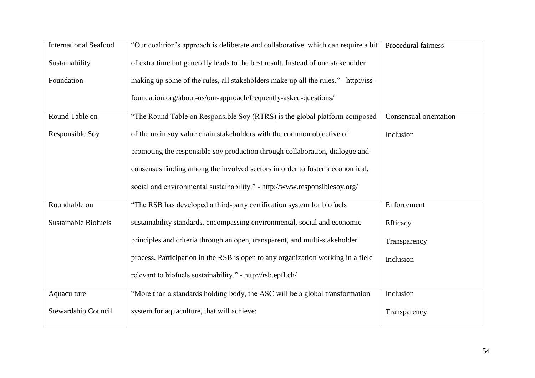| <b>International Seafood</b> | "Our coalition's approach is deliberate and collaborative, which can require a bit  | Procedural fairness    |
|------------------------------|-------------------------------------------------------------------------------------|------------------------|
| Sustainability               | of extra time but generally leads to the best result. Instead of one stakeholder    |                        |
| Foundation                   | making up some of the rules, all stakeholders make up all the rules." - http://iss- |                        |
|                              | foundation.org/about-us/our-approach/frequently-asked-questions/                    |                        |
| Round Table on               | "The Round Table on Responsible Soy (RTRS) is the global platform composed          | Consensual orientation |
| Responsible Soy              | of the main soy value chain stakeholders with the common objective of               | Inclusion              |
|                              | promoting the responsible soy production through collaboration, dialogue and        |                        |
|                              | consensus finding among the involved sectors in order to foster a economical,       |                        |
|                              | social and environmental sustainability." - http://www.responsiblesoy.org/          |                        |
| Roundtable on                | "The RSB has developed a third-party certification system for biofuels"             | Enforcement            |
| <b>Sustainable Biofuels</b>  | sustainability standards, encompassing environmental, social and economic           | Efficacy               |
|                              | principles and criteria through an open, transparent, and multi-stakeholder         | Transparency           |
|                              | process. Participation in the RSB is open to any organization working in a field    | Inclusion              |
|                              | relevant to biofuels sustainability." - http://rsb.epfl.ch/                         |                        |
| Aquaculture                  | "More than a standards holding body, the ASC will be a global transformation        | Inclusion              |
| <b>Stewardship Council</b>   | system for aquaculture, that will achieve:                                          | Transparency           |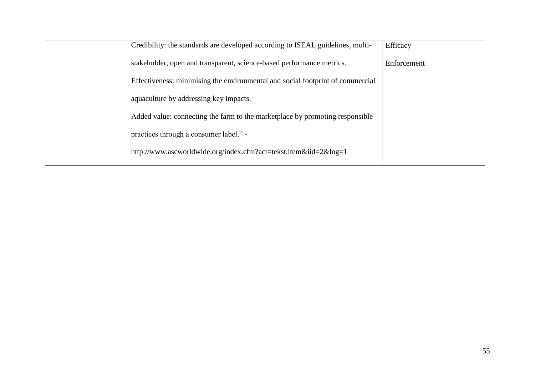| Credibility: the standards are developed according to ISEAL guidelines, multi- | Efficacy    |
|--------------------------------------------------------------------------------|-------------|
| stakeholder, open and transparent, science-based performance metrics.          | Enforcement |
| Effectiveness: minimising the environmental and social footprint of commercial |             |
| aquaculture by addressing key impacts.                                         |             |
| Added value: connecting the farm to the marketplace by promoting responsible   |             |
| practices through a consumer label." -                                         |             |
| http://www.ascworldwide.org/index.cfm?act=tekst.item&iid=2&lng=1               |             |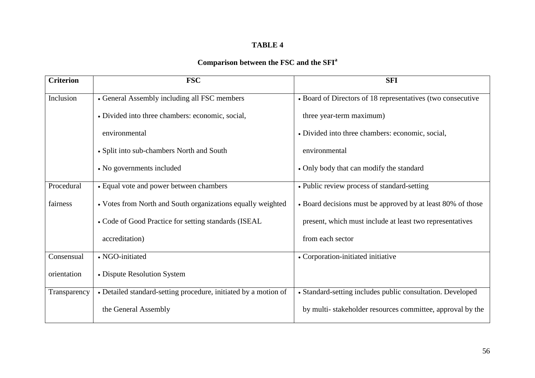## **Comparison between the FSC and the SFI<sup>a</sup>**

| <b>Criterion</b> | <b>FSC</b>                                                      | <b>SFI</b>                                                  |
|------------------|-----------------------------------------------------------------|-------------------------------------------------------------|
| Inclusion        | • General Assembly including all FSC members                    | • Board of Directors of 18 representatives (two consecutive |
|                  | • Divided into three chambers: economic, social,                | three year-term maximum)                                    |
|                  | environmental                                                   | • Divided into three chambers: economic, social,            |
|                  | • Split into sub-chambers North and South                       | environmental                                               |
|                  | • No governments included                                       | • Only body that can modify the standard                    |
| Procedural       | • Equal vote and power between chambers                         | • Public review process of standard-setting                 |
| fairness         | • Votes from North and South organizations equally weighted     | • Board decisions must be approved by at least 80% of those |
|                  | • Code of Good Practice for setting standards (ISEAL            | present, which must include at least two representatives    |
|                  | accreditation)                                                  | from each sector                                            |
| Consensual       | • NGO-initiated                                                 | • Corporation-initiated initiative                          |
| orientation      | • Dispute Resolution System                                     |                                                             |
| Transparency     | • Detailed standard-setting procedure, initiated by a motion of | • Standard-setting includes public consultation. Developed  |
|                  | the General Assembly                                            | by multi-stakeholder resources committee, approval by the   |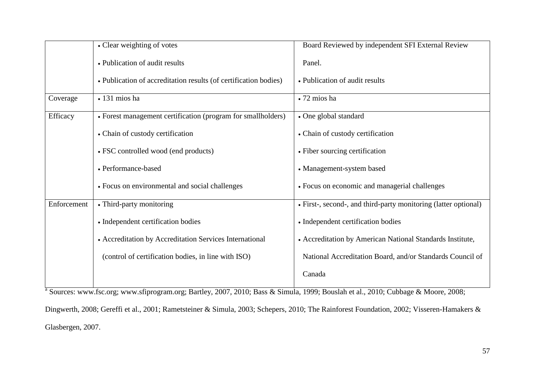|             | • Clear weighting of votes                                       | Board Reviewed by independent SFI External Review               |
|-------------|------------------------------------------------------------------|-----------------------------------------------------------------|
|             | • Publication of audit results                                   | Panel.                                                          |
|             | • Publication of accreditation results (of certification bodies) | • Publication of audit results                                  |
| Coverage    | • 131 mios ha                                                    | • 72 mios ha                                                    |
| Efficacy    | • Forest management certification (program for smallholders)     | • One global standard                                           |
|             | • Chain of custody certification                                 | • Chain of custody certification                                |
|             | • FSC controlled wood (end products)                             | • Fiber sourcing certification                                  |
|             | • Performance-based                                              | • Management-system based                                       |
|             | • Focus on environmental and social challenges                   | • Focus on economic and managerial challenges                   |
| Enforcement | • Third-party monitoring                                         | • First-, second-, and third-party monitoring (latter optional) |
|             | • Independent certification bodies                               | • Independent certification bodies                              |
|             | • Accreditation by Accreditation Services International          | • Accreditation by American National Standards Institute,       |
|             | (control of certification bodies, in line with ISO)              | National Accreditation Board, and/or Standards Council of       |
|             |                                                                  | Canada                                                          |

<sup>a</sup> Sources: www.fsc.org; www.sfiprogram.org; Bartley, 2007, 2010; Bass & Simula, 1999; Bouslah et al., 2010; Cubbage & Moore, 2008; Dingwerth, 2008; Gereffi et al., 2001; Rametsteiner & Simula, 2003; Schepers, 2010; The Rainforest Foundation, 2002; Visseren-Hamakers & Glasbergen, 2007.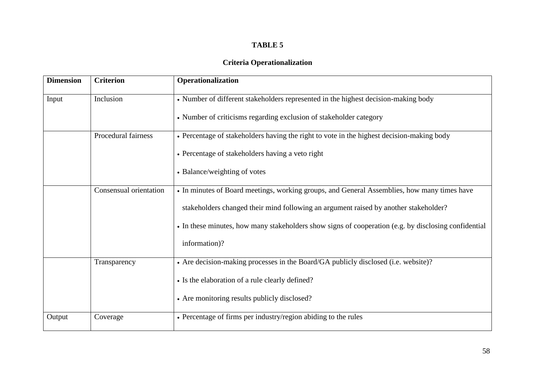### **Criteria Operationalization**

| <b>Dimension</b> | <b>Criterion</b>       | Operationalization                                                                                   |
|------------------|------------------------|------------------------------------------------------------------------------------------------------|
| Input            | Inclusion              | • Number of different stakeholders represented in the highest decision-making body                   |
|                  |                        | • Number of criticisms regarding exclusion of stakeholder category                                   |
|                  | Procedural fairness    | • Percentage of stakeholders having the right to vote in the highest decision-making body            |
|                  |                        | • Percentage of stakeholders having a veto right                                                     |
|                  |                        | • Balance/weighting of votes                                                                         |
|                  | Consensual orientation | • In minutes of Board meetings, working groups, and General Assemblies, how many times have          |
|                  |                        | stakeholders changed their mind following an argument raised by another stakeholder?                 |
|                  |                        | • In these minutes, how many stakeholders show signs of cooperation (e.g. by disclosing confidential |
|                  |                        | information)?                                                                                        |
|                  | Transparency           | • Are decision-making processes in the Board/GA publicly disclosed (i.e. website)?                   |
|                  |                        | • Is the elaboration of a rule clearly defined?                                                      |
|                  |                        | • Are monitoring results publicly disclosed?                                                         |
| Output           | Coverage               | • Percentage of firms per industry/region abiding to the rules                                       |